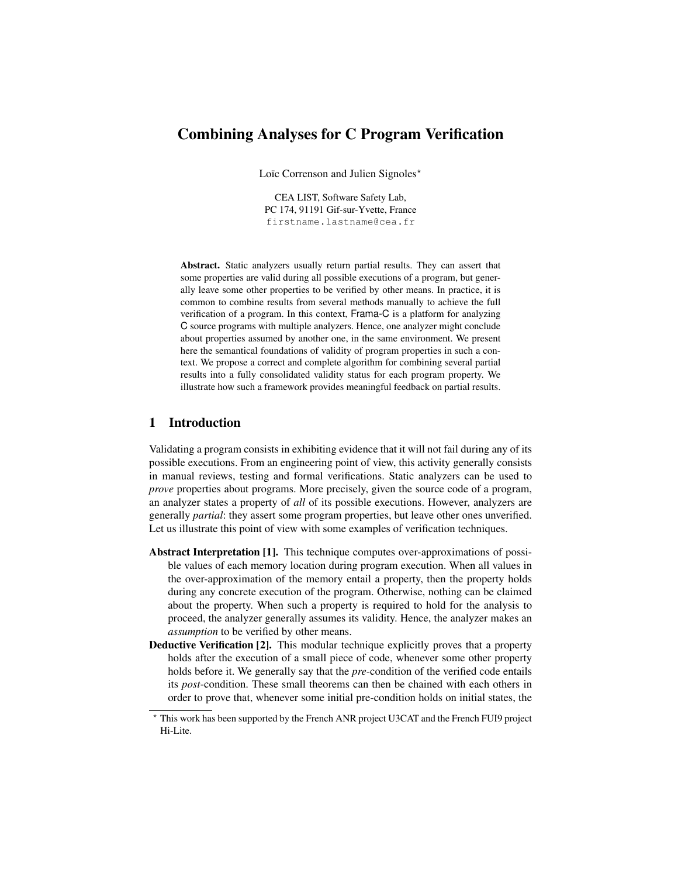# Combining Analyses for C Program Verification

Loïc Correnson and Julien Signoles<sup>\*</sup>

CEA LIST, Software Safety Lab, PC 174, 91191 Gif-sur-Yvette, France firstname.lastname@cea.fr

Abstract. Static analyzers usually return partial results. They can assert that some properties are valid during all possible executions of a program, but generally leave some other properties to be verified by other means. In practice, it is common to combine results from several methods manually to achieve the full verification of a program. In this context, Frama-C is a platform for analyzing C source programs with multiple analyzers. Hence, one analyzer might conclude about properties assumed by another one, in the same environment. We present here the semantical foundations of validity of program properties in such a context. We propose a correct and complete algorithm for combining several partial results into a fully consolidated validity status for each program property. We illustrate how such a framework provides meaningful feedback on partial results.

# 1 Introduction

Validating a program consists in exhibiting evidence that it will not fail during any of its possible executions. From an engineering point of view, this activity generally consists in manual reviews, testing and formal verifications. Static analyzers can be used to *prove* properties about programs. More precisely, given the source code of a program, an analyzer states a property of *all* of its possible executions. However, analyzers are generally *partial*: they assert some program properties, but leave other ones unverified. Let us illustrate this point of view with some examples of verification techniques.

- Abstract Interpretation [1]. This technique computes over-approximations of possible values of each memory location during program execution. When all values in the over-approximation of the memory entail a property, then the property holds during any concrete execution of the program. Otherwise, nothing can be claimed about the property. When such a property is required to hold for the analysis to proceed, the analyzer generally assumes its validity. Hence, the analyzer makes an *assumption* to be verified by other means.
- Deductive Verification [2]. This modular technique explicitly proves that a property holds after the execution of a small piece of code, whenever some other property holds before it. We generally say that the *pre*-condition of the verified code entails its *post*-condition. These small theorems can then be chained with each others in order to prove that, whenever some initial pre-condition holds on initial states, the

<sup>?</sup> This work has been supported by the French ANR project U3CAT and the French FUI9 project Hi-Lite.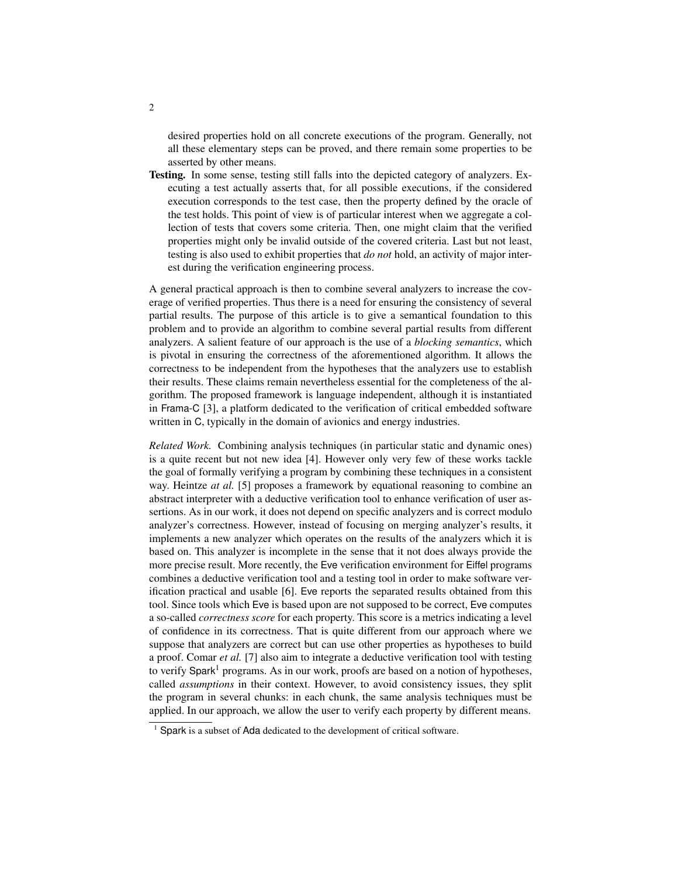desired properties hold on all concrete executions of the program. Generally, not all these elementary steps can be proved, and there remain some properties to be asserted by other means.

Testing. In some sense, testing still falls into the depicted category of analyzers. Executing a test actually asserts that, for all possible executions, if the considered execution corresponds to the test case, then the property defined by the oracle of the test holds. This point of view is of particular interest when we aggregate a collection of tests that covers some criteria. Then, one might claim that the verified properties might only be invalid outside of the covered criteria. Last but not least, testing is also used to exhibit properties that *do not* hold, an activity of major interest during the verification engineering process.

A general practical approach is then to combine several analyzers to increase the coverage of verified properties. Thus there is a need for ensuring the consistency of several partial results. The purpose of this article is to give a semantical foundation to this problem and to provide an algorithm to combine several partial results from different analyzers. A salient feature of our approach is the use of a *blocking semantics*, which is pivotal in ensuring the correctness of the aforementioned algorithm. It allows the correctness to be independent from the hypotheses that the analyzers use to establish their results. These claims remain nevertheless essential for the completeness of the algorithm. The proposed framework is language independent, although it is instantiated in Frama-C [3], a platform dedicated to the verification of critical embedded software written in C, typically in the domain of avionics and energy industries.

*Related Work.* Combining analysis techniques (in particular static and dynamic ones) is a quite recent but not new idea [4]. However only very few of these works tackle the goal of formally verifying a program by combining these techniques in a consistent way. Heintze *at al.* [5] proposes a framework by equational reasoning to combine an abstract interpreter with a deductive verification tool to enhance verification of user assertions. As in our work, it does not depend on specific analyzers and is correct modulo analyzer's correctness. However, instead of focusing on merging analyzer's results, it implements a new analyzer which operates on the results of the analyzers which it is based on. This analyzer is incomplete in the sense that it not does always provide the more precise result. More recently, the Eve verification environment for Eiffel programs combines a deductive verification tool and a testing tool in order to make software verification practical and usable [6]. Eve reports the separated results obtained from this tool. Since tools which Eve is based upon are not supposed to be correct, Eve computes a so-called *correctness score* for each property. This score is a metrics indicating a level of confidence in its correctness. That is quite different from our approach where we suppose that analyzers are correct but can use other properties as hypotheses to build a proof. Comar *et al.* [7] also aim to integrate a deductive verification tool with testing to verify Spark<sup>1</sup> programs. As in our work, proofs are based on a notion of hypotheses, called *assumptions* in their context. However, to avoid consistency issues, they split the program in several chunks: in each chunk, the same analysis techniques must be applied. In our approach, we allow the user to verify each property by different means.

<sup>&</sup>lt;sup>1</sup> Spark is a subset of Ada dedicated to the development of critical software.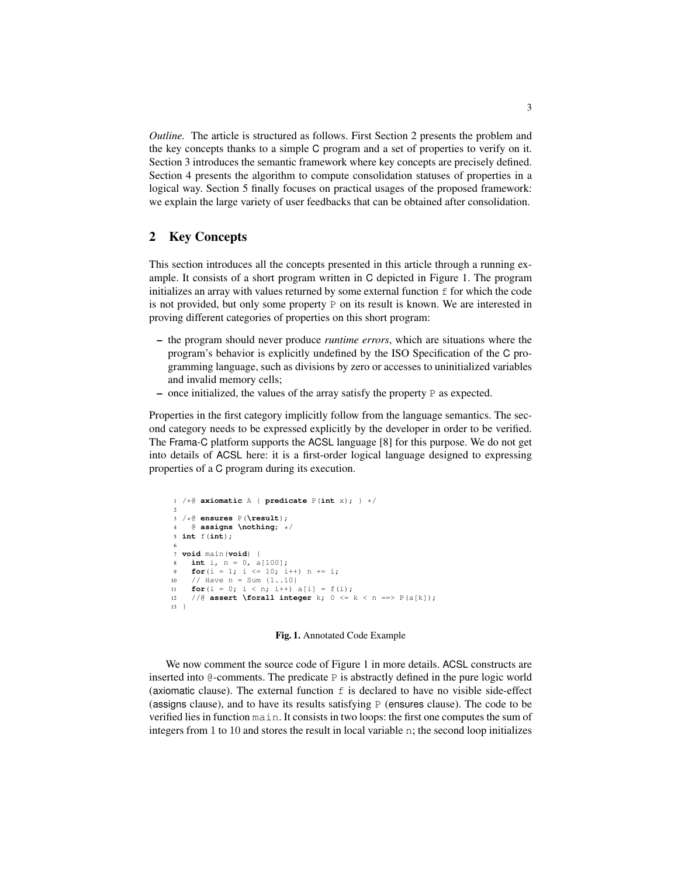*Outline.* The article is structured as follows. First Section 2 presents the problem and the key concepts thanks to a simple C program and a set of properties to verify on it. Section 3 introduces the semantic framework where key concepts are precisely defined. Section 4 presents the algorithm to compute consolidation statuses of properties in a logical way. Section 5 finally focuses on practical usages of the proposed framework: we explain the large variety of user feedbacks that can be obtained after consolidation.

# 2 Key Concepts

This section introduces all the concepts presented in this article through a running example. It consists of a short program written in C depicted in Figure 1. The program initializes an array with values returned by some external function  $f$  for which the code is not provided, but only some property P on its result is known. We are interested in proving different categories of properties on this short program:

- the program should never produce *runtime errors*, which are situations where the program's behavior is explicitly undefined by the ISO Specification of the C programming language, such as divisions by zero or accesses to uninitialized variables and invalid memory cells;
- once initialized, the values of the array satisfy the property P as expected.

Properties in the first category implicitly follow from the language semantics. The second category needs to be expressed explicitly by the developer in order to be verified. The Frama-C platform supports the ACSL language [8] for this purpose. We do not get into details of ACSL here: it is a first-order logical language designed to expressing properties of a C program during its execution.

```
1 /*@ axiomatic A { predicate P(int x); } */
2
3 /*@ ensures P(\result);
    4 @ assigns \nothing; */
5 int f(int);
 6
7 void main(void) {
8 int i, n = 0, a[100];
   for(i = 1; i <= 10; i++) n += i;
10 // Have n = Sum {1..10}
11 for(i = 0; i < n; i++) a[i] = f(i);
12 //@ assert \forall integer k; 0 <= k < n ==> P(a[k]);
13<sup>-1</sup>
```
#### Fig. 1. Annotated Code Example

We now comment the source code of Figure 1 in more details. ACSL constructs are inserted into  $\theta$ -comments. The predicate P is abstractly defined in the pure logic world (axiomatic clause). The external function  $f$  is declared to have no visible side-effect (assigns clause), and to have its results satisfying  $P$  (ensures clause). The code to be verified lies in function main. It consists in two loops: the first one computes the sum of integers from 1 to 10 and stores the result in local variable n; the second loop initializes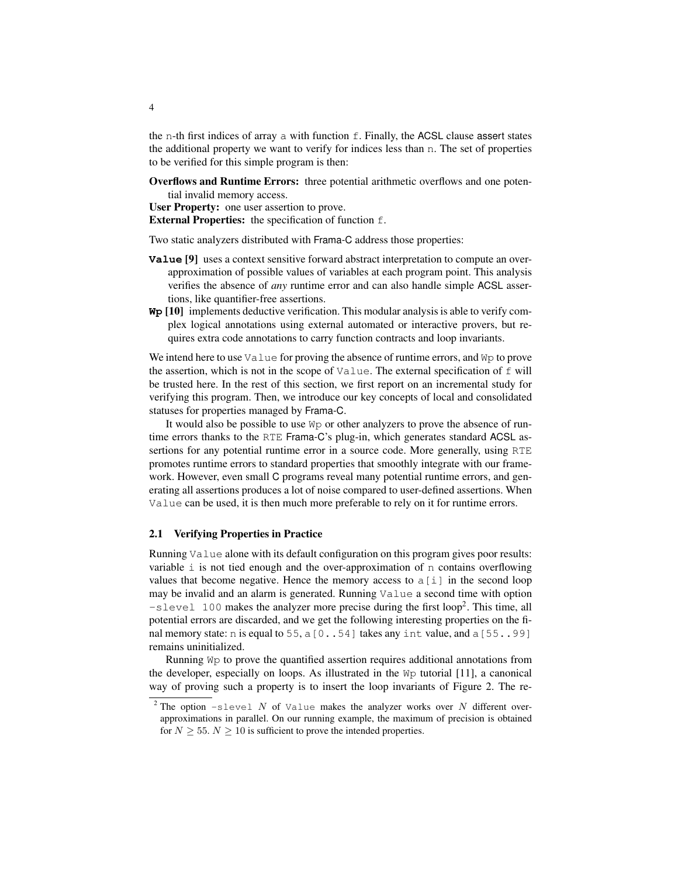the n-th first indices of array a with function  $f$ . Finally, the ACSL clause assert states the additional property we want to verify for indices less than n. The set of properties to be verified for this simple program is then:

Overflows and Runtime Errors: three potential arithmetic overflows and one potential invalid memory access.

User Property: one user assertion to prove.

External Properties: the specification of function f.

Two static analyzers distributed with Frama-C address those properties:

- **Value** [9] uses a context sensitive forward abstract interpretation to compute an overapproximation of possible values of variables at each program point. This analysis verifies the absence of *any* runtime error and can also handle simple ACSL assertions, like quantifier-free assertions.
- **Wp** [10] implements deductive verification. This modular analysis is able to verify complex logical annotations using external automated or interactive provers, but requires extra code annotations to carry function contracts and loop invariants.

We intend here to use Value for proving the absence of runtime errors, and Wp to prove the assertion, which is not in the scope of  $Value$ . The external specification of f will be trusted here. In the rest of this section, we first report on an incremental study for verifying this program. Then, we introduce our key concepts of local and consolidated statuses for properties managed by Frama-C.

It would also be possible to use Wp or other analyzers to prove the absence of runtime errors thanks to the RTE Frama-C's plug-in, which generates standard ACSL assertions for any potential runtime error in a source code. More generally, using RTE promotes runtime errors to standard properties that smoothly integrate with our framework. However, even small C programs reveal many potential runtime errors, and generating all assertions produces a lot of noise compared to user-defined assertions. When Value can be used, it is then much more preferable to rely on it for runtime errors.

### 2.1 Verifying Properties in Practice

Running Value alone with its default configuration on this program gives poor results: variable i is not tied enough and the over-approximation of n contains overflowing values that become negative. Hence the memory access to  $a[i]$  in the second loop may be invalid and an alarm is generated. Running Value a second time with option  $-$ slevel 100 makes the analyzer more precise during the first loop<sup>2</sup>. This time, all potential errors are discarded, and we get the following interesting properties on the final memory state: n is equal to 55, a [0..54] takes any int value, and a [55..99] remains uninitialized.

Running Wp to prove the quantified assertion requires additional annotations from the developer, especially on loops. As illustrated in the  $Wp$  tutorial [11], a canonical way of proving such a property is to insert the loop invariants of Figure 2. The re-

4

<sup>&</sup>lt;sup>2</sup> The option  $-slevel N$  of Value makes the analyzer works over N different overapproximations in parallel. On our running example, the maximum of precision is obtained for  $N \ge 55$ .  $N \ge 10$  is sufficient to prove the intended properties.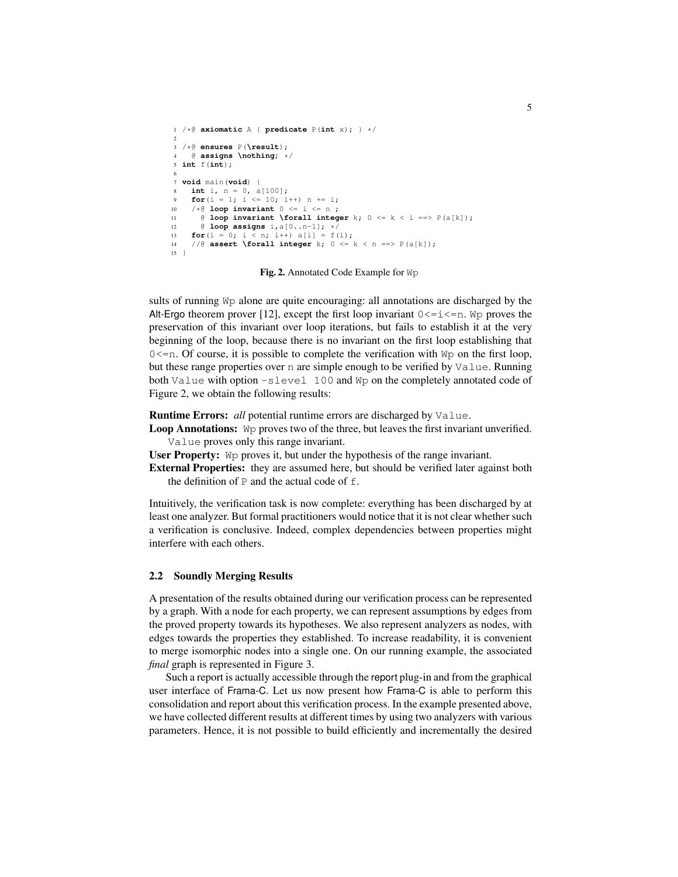```
1 /*@ axiomatic A { predicate P(int x); } */
 2
3 /*@ ensures P(\result);
    4 @ assigns \nothing; */
5 int f(int);
 6
7 void main(void) {
8 int i, n = 0, a[100];
9 for(i = 1; i <= 10; i++) n += i;<br>
10 /*@ loop invariant 0 <= i <= n;
11 @ loop invariant \forall integer k; 0 \le k \le i \implies P(a[k]);
12 @ loop assigns i, a [0..n-1]; */<br>13 for(i = 0; i < n; i++) a[i] = f(
    for(i = 0; i < n; i++) a[i] = f(i);
14 //@ assert \forall integer k; 0 <= k < n ==> P(a[k]);
15 - 1
```
Fig. 2. Annotated Code Example for Wp

sults of running  $Wp$  alone are quite encouraging: all annotations are discharged by the Alt-Ergo theorem prover [12], except the first loop invariant  $0 \le i \le n$ . Wp proves the preservation of this invariant over loop iterations, but fails to establish it at the very beginning of the loop, because there is no invariant on the first loop establishing that  $0 \le n$ . Of course, it is possible to complete the verification with Wp on the first loop, but these range properties over n are simple enough to be verified by Value. Running both Value with option -slevel 100 and Wp on the completely annotated code of Figure 2, we obtain the following results:

**Runtime Errors:** all potential runtime errors are discharged by Value.

**Loop Annotations:**  $W\varphi$  proves two of the three, but leaves the first invariant unverified. Value proves only this range invariant.

User Property: W<sub>p</sub> proves it, but under the hypothesis of the range invariant.

External Properties: they are assumed here, but should be verified later against both the definition of  $P$  and the actual code of  $E$ .

Intuitively, the verification task is now complete: everything has been discharged by at least one analyzer. But formal practitioners would notice that it is not clear whether such a verification is conclusive. Indeed, complex dependencies between properties might interfere with each others.

#### 2.2 Soundly Merging Results

A presentation of the results obtained during our verification process can be represented by a graph. With a node for each property, we can represent assumptions by edges from the proved property towards its hypotheses. We also represent analyzers as nodes, with edges towards the properties they established. To increase readability, it is convenient to merge isomorphic nodes into a single one. On our running example, the associated *final* graph is represented in Figure 3.

Such a report is actually accessible through the report plug-in and from the graphical user interface of Frama-C. Let us now present how Frama-C is able to perform this consolidation and report about this verification process. In the example presented above, we have collected different results at different times by using two analyzers with various parameters. Hence, it is not possible to build efficiently and incrementally the desired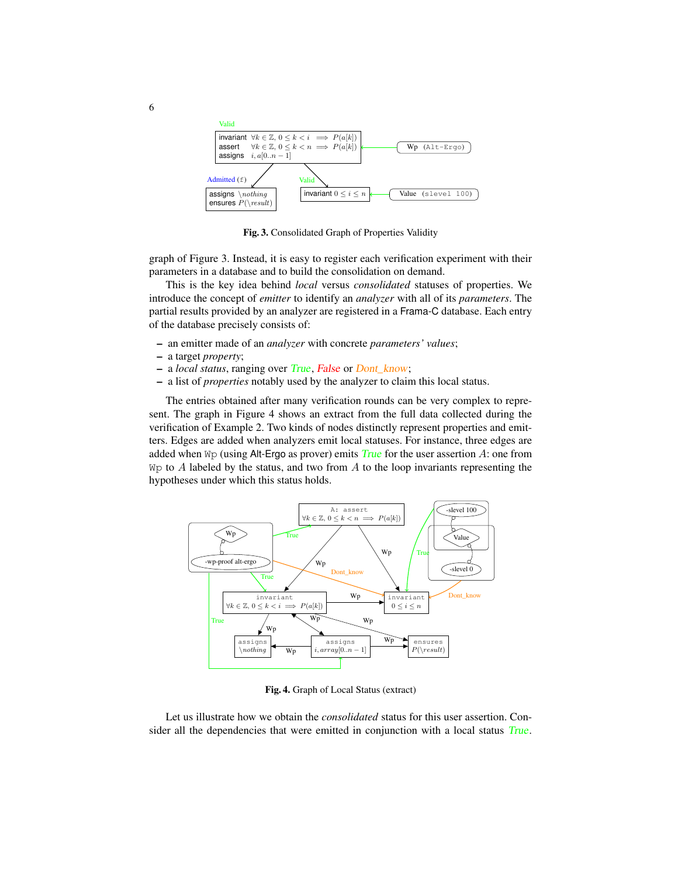

Fig. 3. Consolidated Graph of Properties Validity

graph of Figure 3. Instead, it is easy to register each verification experiment with their parameters in a database and to build the consolidation on demand.

This is the key idea behind *local* versus *consolidated* statuses of properties. We introduce the concept of *emitter* to identify an *analyzer* with all of its *parameters*. The partial results provided by an analyzer are registered in a Frama-C database. Each entry of the database precisely consists of:

- an emitter made of an *analyzer* with concrete *parameters' values*;
- a target *property*;
- a *local status*, ranging over True, False or Dont\_know;
- a list of *properties* notably used by the analyzer to claim this local status.

The entries obtained after many verification rounds can be very complex to represent. The graph in Figure 4 shows an extract from the full data collected during the verification of Example 2. Two kinds of nodes distinctly represent properties and emitters. Edges are added when analyzers emit local statuses. For instance, three edges are added when Wp (using Alt-Ergo as prover) emits True for the user assertion A: one from Wp to A labeled by the status, and two from A to the loop invariants representing the hypotheses under which this status holds.



Fig. 4. Graph of Local Status (extract)

Let us illustrate how we obtain the *consolidated* status for this user assertion. Consider all the dependencies that were emitted in conjunction with a local status True.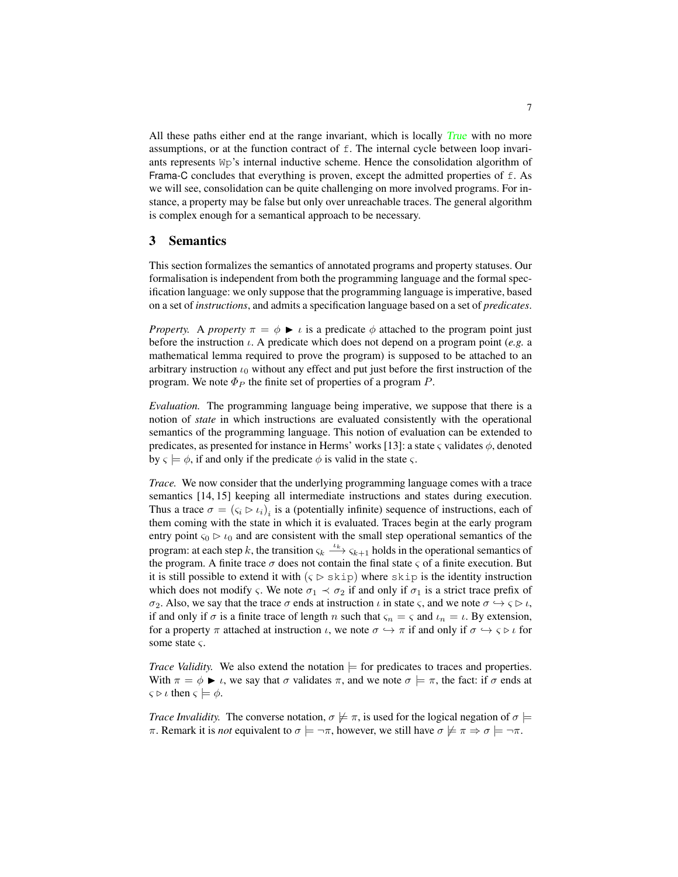All these paths either end at the range invariant, which is locally True with no more assumptions, or at the function contract of  $E$ . The internal cycle between loop invariants represents Wp's internal inductive scheme. Hence the consolidation algorithm of Frama-C concludes that everything is proven, except the admitted properties of  $f$ . As we will see, consolidation can be quite challenging on more involved programs. For instance, a property may be false but only over unreachable traces. The general algorithm is complex enough for a semantical approach to be necessary.

# 3 Semantics

This section formalizes the semantics of annotated programs and property statuses. Our formalisation is independent from both the programming language and the formal specification language: we only suppose that the programming language is imperative, based on a set of *instructions*, and admits a specification language based on a set of *predicates*.

*Property.* A *property*  $\pi = \phi \triangleright \iota$  is a predicate  $\phi$  attached to the program point just before the instruction  $\iota$ . A predicate which does not depend on a program point (*e.g.* a mathematical lemma required to prove the program) is supposed to be attached to an arbitrary instruction  $\iota_0$  without any effect and put just before the first instruction of the program. We note  $\Phi_P$  the finite set of properties of a program P.

*Evaluation.* The programming language being imperative, we suppose that there is a notion of *state* in which instructions are evaluated consistently with the operational semantics of the programming language. This notion of evaluation can be extended to predicates, as presented for instance in Herms' works [13]: a state  $\varsigma$  validates  $\phi$ , denoted by  $\varsigma \models \phi$ , if and only if the predicate  $\phi$  is valid in the state  $\varsigma$ .

*Trace.* We now consider that the underlying programming language comes with a trace semantics [14, 15] keeping all intermediate instructions and states during execution. Thus a trace  $\sigma = (s_i \triangleright \iota_i)_i$  is a (potentially infinite) sequence of instructions, each of them coming with the state in which it is evaluated. Traces begin at the early program entry point  $\varsigma_0 \triangleright \iota_0$  and are consistent with the small step operational semantics of the program: at each step k, the transition  $\varsigma_k \xrightarrow{\iota_k} \varsigma_{k+1}$  holds in the operational semantics of the program. A finite trace  $\sigma$  does not contain the final state  $\varsigma$  of a finite execution. But it is still possible to extend it with  $(s \triangleright s \text{kip})$  where  $s \text{kip}$  is the identity instruction which does not modify  $\varsigma$ . We note  $\sigma_1 \prec \sigma_2$  if and only if  $\sigma_1$  is a strict trace prefix of σ<sub>2</sub>. Also, we say that the trace σ ends at instruction *ι* in state *ς*, and we note  $\sigma \hookrightarrow \varsigma \triangleright \iota$ , if and only if  $\sigma$  is a finite trace of length n such that  $\varsigma_n = \varsigma$  and  $\iota_n = \iota$ . By extension, for a property  $\pi$  attached at instruction  $\iota$ , we note  $\sigma \hookrightarrow \pi$  if and only if  $\sigma \hookrightarrow \varsigma \triangleright \iota$  for some state ς.

*Trace Validity.* We also extend the notation  $\models$  for predicates to traces and properties. With  $\pi = \phi \triangleright \iota$ , we say that  $\sigma$  validates  $\pi$ , and we note  $\sigma \models \pi$ , the fact: if  $\sigma$  ends at  $\varsigma \triangleright \iota$  then  $\varsigma \models \phi$ .

*Trace Invalidity.* The converse notation,  $\sigma \not\models \pi$ , is used for the logical negation of  $\sigma \models$ π. Remark it is *not* equivalent to  $\sigma \models \neg \pi$ , however, we still have  $\sigma \not\models \pi \Rightarrow \sigma \models \neg \pi$ .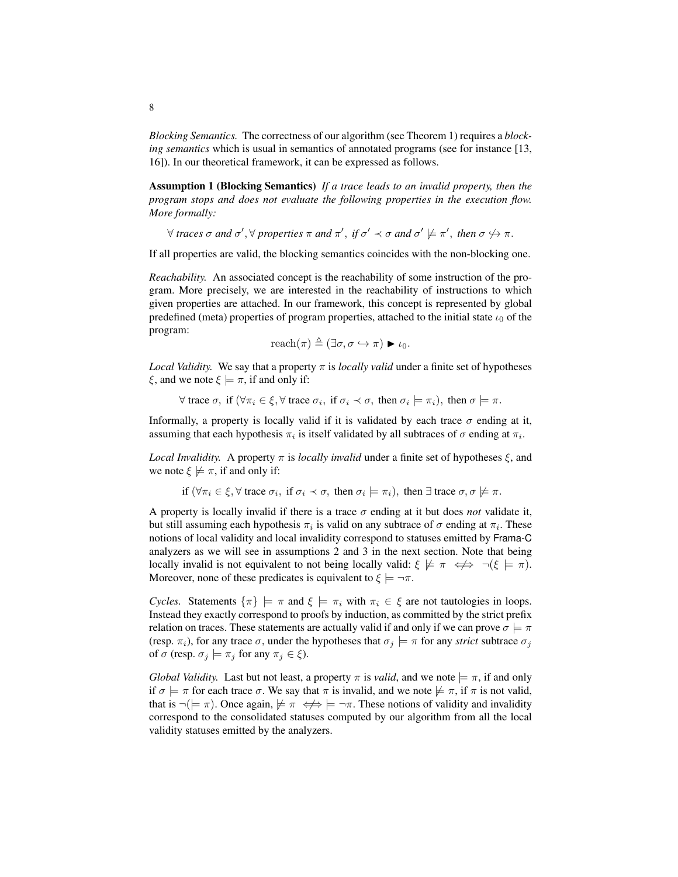*Blocking Semantics.* The correctness of our algorithm (see Theorem 1) requires a *blocking semantics* which is usual in semantics of annotated programs (see for instance [13, 16]). In our theoretical framework, it can be expressed as follows.

Assumption 1 (Blocking Semantics) *If a trace leads to an invalid property, then the program stops and does not evaluate the following properties in the execution flow. More formally:*

 $\forall$  *traces*  $\sigma$  *and*  $\sigma'$ ,  $\forall$  *properties*  $\pi$  *and*  $\pi'$ *, if*  $\sigma' \prec \sigma$  *and*  $\sigma' \not\models \pi'$ *, then*  $\sigma \not\hookrightarrow \pi$ *.* 

If all properties are valid, the blocking semantics coincides with the non-blocking one.

*Reachability.* An associated concept is the reachability of some instruction of the program. More precisely, we are interested in the reachability of instructions to which given properties are attached. In our framework, this concept is represented by global predefined (meta) properties of program properties, attached to the initial state  $\iota_0$  of the program:

$$
\text{reach}(\pi) \triangleq (\exists \sigma, \sigma \hookrightarrow \pi) \blacktriangleright \iota_0.
$$

*Local Validity.* We say that a property  $\pi$  is *locally valid* under a finite set of hypotheses  $\xi$ , and we note  $\xi \models \pi$ , if and only if:

 $\forall$  trace  $\sigma$ , if  $(\forall \pi_i \in \xi, \forall$  trace  $\sigma_i$ , if  $\sigma_i \prec \sigma$ , then  $\sigma_i \models \pi_i$ , then  $\sigma \models \pi$ .

Informally, a property is locally valid if it is validated by each trace  $\sigma$  ending at it, assuming that each hypothesis  $\pi_i$  is itself validated by all subtraces of  $\sigma$  ending at  $\pi_i$ .

*Local Invalidity.* A property  $\pi$  is *locally invalid* under a finite set of hypotheses  $\xi$ , and we note  $\xi \not\models \pi$ , if and only if:

if 
$$
(\forall \pi_i \in \xi, \forall \text{ trace } \sigma_i, \text{ if } \sigma_i \prec \sigma, \text{ then } \sigma_i \models \pi_i), \text{ then } \exists \text{ trace } \sigma, \sigma \not\models \pi.
$$

A property is locally invalid if there is a trace  $\sigma$  ending at it but does *not* validate it, but still assuming each hypothesis  $\pi_i$  is valid on any subtrace of  $\sigma$  ending at  $\pi_i$ . These notions of local validity and local invalidity correspond to statuses emitted by Frama-C analyzers as we will see in assumptions 2 and 3 in the next section. Note that being locally invalid is not equivalent to not being locally valid:  $\xi \not\models \pi \iff \neg(\xi \models \pi)$ . Moreover, none of these predicates is equivalent to  $\xi \models \neg \pi$ .

*Cycles.* Statements  $\{\pi\} \models \pi$  and  $\xi \models \pi_i$  with  $\pi_i \in \xi$  are not tautologies in loops. Instead they exactly correspond to proofs by induction, as committed by the strict prefix relation on traces. These statements are actually valid if and only if we can prove  $\sigma \models \pi$ (resp.  $\pi_i$ ), for any trace  $\sigma$ , under the hypotheses that  $\sigma_j \models \pi$  for any *strict* subtrace  $\sigma_j$ of  $\sigma$  (resp.  $\sigma_j \models \pi_j$  for any  $\pi_j \in \xi$ ).

*Global Validity.* Last but not least, a property  $\pi$  is *valid*, and we note  $\models \pi$ , if and only if  $\sigma \models \pi$  for each trace  $\sigma$ . We say that  $\pi$  is invalid, and we note  $\not\models \pi$ , if  $\pi$  is not valid, that is  $\neg(\models \pi)$ . Once again,  $\not\models \pi \iff \models \neg \pi$ . These notions of validity and invalidity correspond to the consolidated statuses computed by our algorithm from all the local validity statuses emitted by the analyzers.

8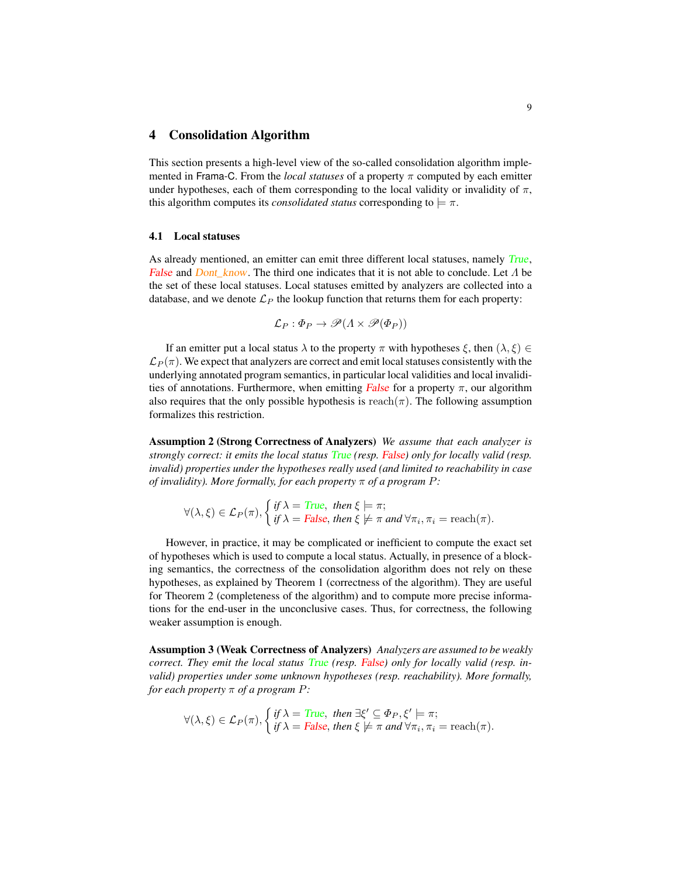# 4 Consolidation Algorithm

This section presents a high-level view of the so-called consolidation algorithm implemented in Frama-C. From the *local statuses* of a property  $\pi$  computed by each emitter under hypotheses, each of them corresponding to the local validity or invalidity of  $\pi$ , this algorithm computes its *consolidated status* corresponding to  $\models \pi$ .

#### 4.1 Local statuses

As already mentioned, an emitter can emit three different local statuses, namely True, False and Dont\_know. The third one indicates that it is not able to conclude. Let Λ be the set of these local statuses. Local statuses emitted by analyzers are collected into a database, and we denote  $\mathcal{L}_P$  the lookup function that returns them for each property:

$$
\mathcal{L}_P: \varPhi_P \rightarrow \mathscr{P}(\varLambda \times \mathscr{P}(\varPhi_P))
$$

If an emitter put a local status  $\lambda$  to the property  $\pi$  with hypotheses  $\xi$ , then  $(\lambda, \xi) \in$  $\mathcal{L}_P(\pi)$ . We expect that analyzers are correct and emit local statuses consistently with the underlying annotated program semantics, in particular local validities and local invalidities of annotations. Furthermore, when emitting False for a property  $\pi$ , our algorithm also requires that the only possible hypothesis is reach $(\pi)$ . The following assumption formalizes this restriction.

Assumption 2 (Strong Correctness of Analyzers) *We assume that each analyzer is strongly correct: it emits the local status* True *(resp.* False*) only for locally valid (resp. invalid) properties under the hypotheses really used (and limited to reachability in case of invalidity). More formally, for each property* π *of a program* P*:*

$$
\forall (\lambda, \xi) \in \mathcal{L}_P(\pi), \begin{cases} \text{if } \lambda = \text{True}, \text{ then } \xi \models \pi; \\ \text{if } \lambda = \text{False}, \text{ then } \xi \not\models \pi \text{ and } \forall \pi_i, \pi_i = \text{reach}(\pi). \end{cases}
$$

However, in practice, it may be complicated or inefficient to compute the exact set of hypotheses which is used to compute a local status. Actually, in presence of a blocking semantics, the correctness of the consolidation algorithm does not rely on these hypotheses, as explained by Theorem 1 (correctness of the algorithm). They are useful for Theorem 2 (completeness of the algorithm) and to compute more precise informations for the end-user in the unconclusive cases. Thus, for correctness, the following weaker assumption is enough.

Assumption 3 (Weak Correctness of Analyzers) *Analyzers are assumed to be weakly correct. They emit the local status* True *(resp.* False*) only for locally valid (resp. invalid) properties under some unknown hypotheses (resp. reachability). More formally, for each property* π *of a program* P*:*

$$
\forall (\lambda,\xi) \in \mathcal{L}_P(\pi), \begin{cases} \text{if } \lambda = \text{True}, \text{ then } \exists \xi' \subseteq \Phi_P, \xi' \models \pi; \\ \text{if } \lambda = \text{False}, \text{ then } \xi \not\models \pi \text{ and } \forall \pi_i, \pi_i = \text{reach}(\pi). \end{cases}
$$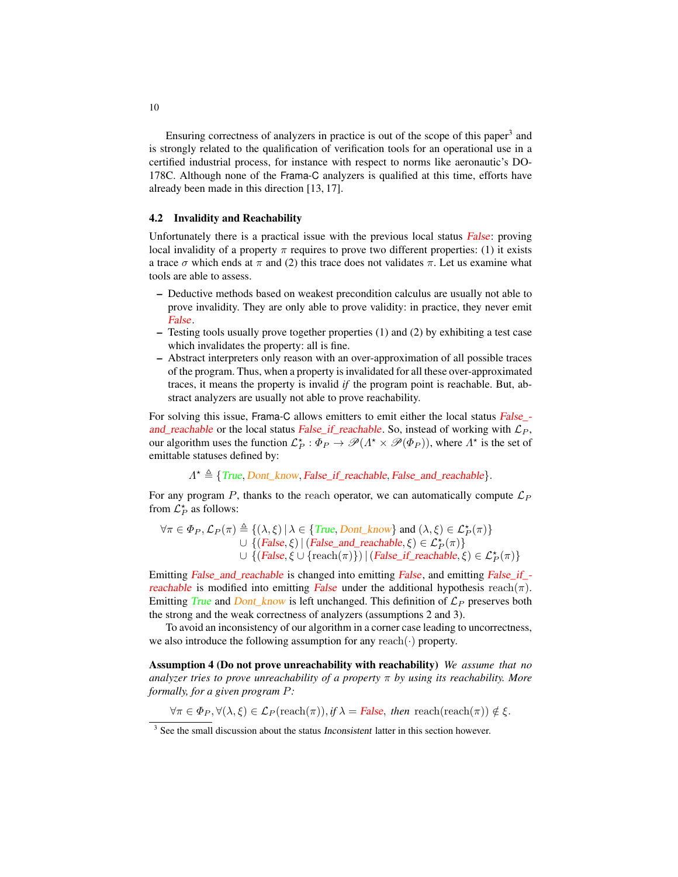Ensuring correctness of analyzers in practice is out of the scope of this paper<sup>3</sup> and is strongly related to the qualification of verification tools for an operational use in a certified industrial process, for instance with respect to norms like aeronautic's DO-178C. Although none of the Frama-C analyzers is qualified at this time, efforts have already been made in this direction [13, 17].

#### 4.2 Invalidity and Reachability

Unfortunately there is a practical issue with the previous local status False: proving local invalidity of a property  $\pi$  requires to prove two different properties: (1) it exists a trace  $\sigma$  which ends at  $\pi$  and (2) this trace does not validates  $\pi$ . Let us examine what tools are able to assess.

- Deductive methods based on weakest precondition calculus are usually not able to prove invalidity. They are only able to prove validity: in practice, they never emit False.
- Testing tools usually prove together properties (1) and (2) by exhibiting a test case which invalidates the property: all is fine.
- Abstract interpreters only reason with an over-approximation of all possible traces of the program. Thus, when a property is invalidated for all these over-approximated traces, it means the property is invalid *if* the program point is reachable. But, abstract analyzers are usually not able to prove reachability.

For solving this issue, Frama-C allows emitters to emit either the local status False\_and\_reachable or the local status False\_if\_reachable. So, instead of working with  $\mathcal{L}_P$ , our algorithm uses the function  $\mathcal{L}_P^* : \Phi_P \to \mathscr{P}(\Lambda^* \times \mathscr{P}(\Phi_P))$ , where  $\Lambda^*$  is the set of emittable statuses defined by:

```
\Lambda^* \triangleq \{True, Dont_know, False_iif_reachable, False_and_reachable\}.
```
For any program P, thanks to the reach operator, we can automatically compute  $\mathcal{L}_P$ from  $\mathcal{L}_P^*$  as follows:

$$
\forall \pi \in \Phi_P, \mathcal{L}_P(\pi) \triangleq \{ (\lambda, \xi) \mid \lambda \in \{ \text{True}, \text{Dont\_know} \} \text{ and } (\lambda, \xi) \in \mathcal{L}_P^{\star}(\pi) \} \\ \cup \{ (\text{False}, \xi) \mid (\text{False\_and\_reachable}, \xi) \in \mathcal{L}_P^{\star}(\pi) \} \\ \cup \{ (\text{False}, \xi \cup \{ \text{reach}(\pi) \}) \mid (\text{False\_if\_reachable}, \xi) \in \mathcal{L}_P^{\star}(\pi) \}
$$

Emitting False and reachable is changed into emitting False, and emitting False if reachable is modified into emitting False under the additional hypothesis reach( $\pi$ ). Emitting True and Dont\_know is left unchanged. This definition of  $\mathcal{L}_P$  preserves both the strong and the weak correctness of analyzers (assumptions 2 and 3).

To avoid an inconsistency of our algorithm in a corner case leading to uncorrectness, we also introduce the following assumption for any reach( $\cdot$ ) property.

Assumption 4 (Do not prove unreachability with reachability) *We assume that no analyzer tries to prove unreachability of a property* π *by using its reachability. More formally, for a given program* P*:*

 $\forall \pi \in \Phi_P, \forall (\lambda, \xi) \in \mathcal{L}_P(\text{reach}(\pi)), \text{if } \lambda = \text{False}, \text{ then } \text{reach}(\text{reach}(\pi)) \notin \xi.$ 

 $3$  See the small discussion about the status Inconsistent latter in this section however.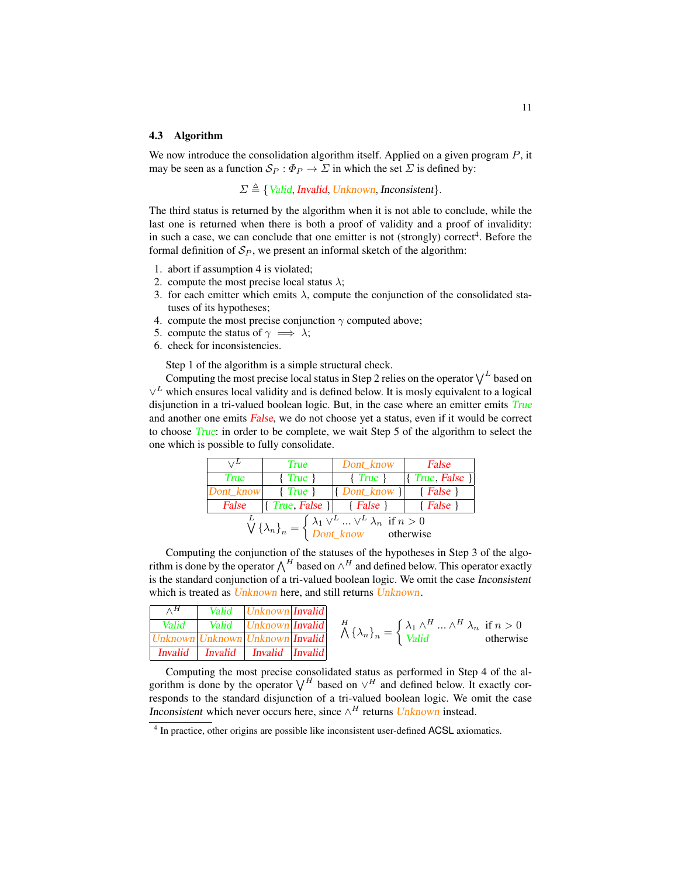#### 4.3 Algorithm

We now introduce the consolidation algorithm itself. Applied on a given program  $P$ , it may be seen as a function  $\mathcal{S}_P : \Phi_P \to \Sigma$  in which the set  $\Sigma$  is defined by:

 $\Sigma \triangleq \{$  Valid, Invalid, Unknown, Inconsistent $\}$ .

The third status is returned by the algorithm when it is not able to conclude, while the last one is returned when there is both a proof of validity and a proof of invalidity: in such a case, we can conclude that one emitter is not (strongly) correct<sup>4</sup>. Before the formal definition of  $S_P$ , we present an informal sketch of the algorithm:

- 1. abort if assumption 4 is violated;
- 2. compute the most precise local status  $\lambda$ ;
- 3. for each emitter which emits  $\lambda$ , compute the conjunction of the consolidated statuses of its hypotheses;
- 4. compute the most precise conjunction  $\gamma$  computed above;
- 5. compute the status of  $\gamma \implies \lambda$ ;
- 6. check for inconsistencies.

Step 1 of the algorithm is a simple structural check.

Computing the most precise local status in Step 2 relies on the operator  $\bigvee^L$  based on  $\vee^L$  which ensures local validity and is defined below. It is mosly equivalent to a logical disjunction in a tri-valued boolean logic. But, in the case where an emitter emits True and another one emits False, we do not choose yet a status, even if it would be correct to choose True: in order to be complete, we wait Step 5 of the algorithm to select the one which is possible to fully consolidate.

|                                                                                                                                                                     | <b>True</b>                       | Dont know             | False             |  |  |
|---------------------------------------------------------------------------------------------------------------------------------------------------------------------|-----------------------------------|-----------------------|-------------------|--|--|
| True                                                                                                                                                                | $\{ True \}$                      | $\{ True \}$          | $\{True, False\}$ |  |  |
| Dont know                                                                                                                                                           | $\{True\}$                        | $ \{$ Dont_know $\} $ | $\{False\}$       |  |  |
| False                                                                                                                                                               | $\{ True, False \}$ $\{ False \}$ |                       | $\{False\}$       |  |  |
| $\bigvee^{L} {\{\lambda_n\}}_n = \begin{cases} \lambda_1 \vee^{L}  \vee^{L} \lambda_n & \text{if } n > 0 \\ \frac{\text{Dont\_know}}{\text{otherwise}} \end{cases}$ |                                   |                       |                   |  |  |

Computing the conjunction of the statuses of the hypotheses in Step 3 of the algorithm is done by the operator  $\bigwedge^H$  based on  $\wedge^H$  and defined below. This operator exactly is the standard conjunction of a tri-valued boolean logic. We omit the case Inconsistent which is treated as Unknown here, and still returns Unknown.

| $\Lambda$ $H$ $\rightarrow$     | Valid   Unknown <i>Invalid</i> |                                                                                                                                                                                                                                          |           |
|---------------------------------|--------------------------------|------------------------------------------------------------------------------------------------------------------------------------------------------------------------------------------------------------------------------------------|-----------|
|                                 |                                | Valid Valid Unknown Invalid $\bigwedge^H {\lambda_n}$ $\bigwedge^H \cdots \bigwedge^H \lambda_n$ if $n > 0$<br>Unknown Unknown Unknown Invalid $\bigwedge^H {\lambda_n}$ $\bigwedge^H \cdots \bigwedge^H \lambda_n$ if $n > 0$ otherwise |           |
|                                 |                                |                                                                                                                                                                                                                                          | otherwise |
| Invalid Invalid Invalid Invalid |                                |                                                                                                                                                                                                                                          |           |

Computing the most precise consolidated status as performed in Step 4 of the algorithm is done by the operator  $\bigvee^H$  based on  $\vee^H$  and defined below. It exactly corresponds to the standard disjunction of a tri-valued boolean logic. We omit the case Inconsistent which never occurs here, since  $\wedge^H$  returns Unknown instead.

<sup>&</sup>lt;sup>4</sup> In practice, other origins are possible like inconsistent user-defined ACSL axiomatics.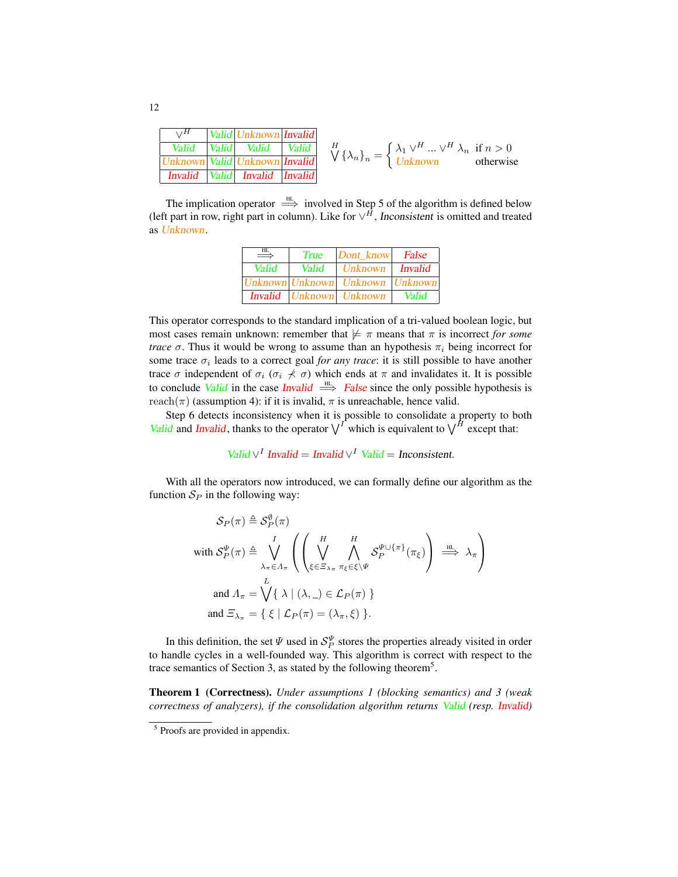|  | $\forall$ <sup>H</sup> Valid Unknown Invalid |                                                                                                                                                                                                                          |  |
|--|----------------------------------------------|--------------------------------------------------------------------------------------------------------------------------------------------------------------------------------------------------------------------------|--|
|  |                                              | Valid Valid Valid Valid Valid $\begin{bmatrix} H \\ \nabla \lambda_n \end{bmatrix}_n = \begin{cases} \lambda_1 \vee^H  \vee^H \lambda_n & \text{if } n > 0 \\ \n\text{Unknown} \lambda_n & \text{otherwise} \end{cases}$ |  |
|  | Unknown Valid Unknown Invalid                |                                                                                                                                                                                                                          |  |
|  | Invalid Valid Invalid Invalid                |                                                                                                                                                                                                                          |  |

The implication operator  $\stackrel{\text{HL}}{\Longrightarrow}$  involved in Step 5 of the algorithm is defined below (left part in row, right part in column). Like for  $\vee^H$ , Inconsistent is omitted and treated as Unknown.

| $\frac{HL}{2}$ | True  | Dont know               | False          |
|----------------|-------|-------------------------|----------------|
| Valid          | Valid | <b>Unknown</b>          | <i>Invalid</i> |
|                |       | Unknown Unknown Unknown | Unknown        |
| <b>Invalid</b> |       | Unknown Unknown         | Valid          |

This operator corresponds to the standard implication of a tri-valued boolean logic, but most cases remain unknown: remember that  $\not\models \pi$  means that  $\pi$  is incorrect *for some trace*  $\sigma$ . Thus it would be wrong to assume than an hypothesis  $\pi_i$  being incorrect for some trace  $\sigma_i$  leads to a correct goal *for any trace*: it is still possible to have another trace  $\sigma$  independent of  $\sigma_i$  ( $\sigma_i \nprec \sigma$ ) which ends at  $\pi$  and invalidates it. It is possible to conclude Valid in the case Invalid  $\stackrel{\text{HL}}{\Longrightarrow}$  False since the only possible hypothesis is reach( $\pi$ ) (assumption 4): if it is invalid,  $\pi$  is unreachable, hence valid.

Step 6 detects inconsistency when it is possible to consolidate a property to both Valid and Invalid, thanks to the operator  $\vee^T$  which is equivalent to  $\vee^H$  except that:

Valid 
$$
\vee^I
$$
 Invalid = Invalid  $\vee^I$  Valid = Inconsistent.

With all the operators now introduced, we can formally define our algorithm as the function  $S_P$  in the following way:

$$
S_P(\pi) \triangleq S_P^{\emptyset}(\pi)
$$
  
with  $S_P^{\Psi}(\pi) \triangleq \bigvee_{\lambda_{\pi} \in \Lambda_{\pi}} \left( \left( \bigvee_{\xi \in \Xi_{\lambda_{\pi}}}^H \bigwedge_{\pi_{\xi} \in \xi \setminus \Psi}^{\pi} S_P^{\Psi \cup \{\pi\}}(\pi_{\xi}) \right) \stackrel{\text{HL}}{\Longrightarrow} \lambda_{\pi} \right)$   
and  $\Lambda_{\pi} = \bigvee_{\lambda_{\pi}} \{\lambda \mid (\lambda, \_) \in \mathcal{L}_P(\pi)\}$   
and  $\Xi_{\lambda_{\pi}} = \{\xi \mid \mathcal{L}_P(\pi) = (\lambda_{\pi}, \xi)\}.$ 

In this definition, the set  $\Psi$  used in  $S_P^{\Psi}$  stores the properties already visited in order to handle cycles in a well-founded way. This algorithm is correct with respect to the trace semantics of Section 3, as stated by the following theorem<sup>5</sup>.

Theorem 1 (Correctness). *Under assumptions 1 (blocking semantics) and 3 (weak correctness of analyzers), if the consolidation algorithm returns* Valid *(resp.* Invalid*)*

<sup>&</sup>lt;sup>5</sup> Proofs are provided in appendix.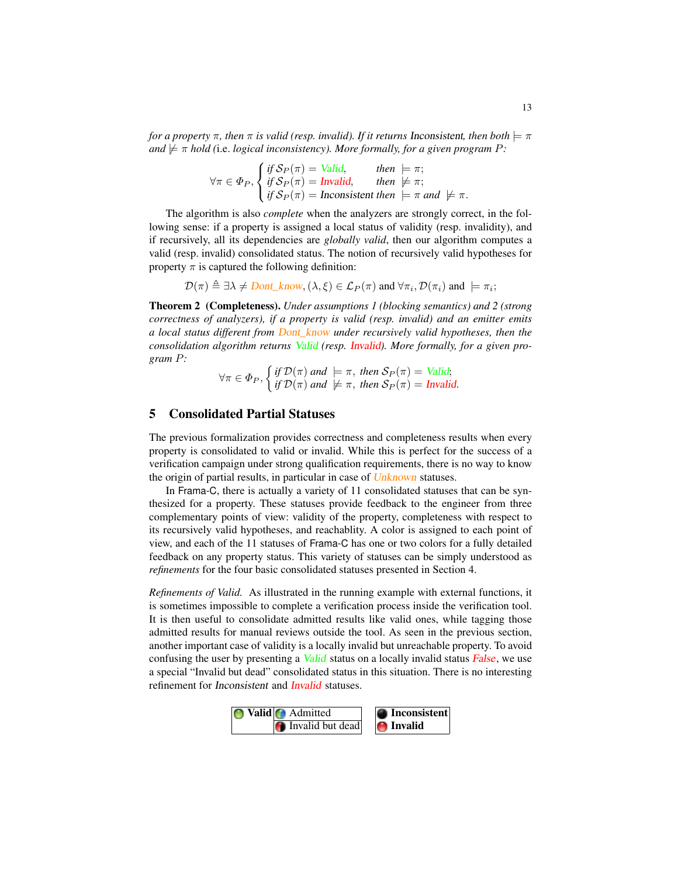*for a property*  $\pi$ *, then*  $\pi$  *is valid (resp. invalid). If it returns* Inconsistent, then both  $\models \pi$ *and*  $\not\models \pi$  *hold* (i.e. *logical inconsistency). More formally, for a given program* P:

$$
\forall \pi \in \Phi_P, \begin{cases} \text{if } S_P(\pi) = \text{Valid}, & \text{then } \models \pi; \\ \text{if } S_P(\pi) = \text{Invalid}, & \text{then } \not \models \pi; \\ \text{if } S_P(\pi) = \text{Inconsistent then } \models \pi \text{ and } \not \models \pi. \end{cases}
$$

The algorithm is also *complete* when the analyzers are strongly correct, in the following sense: if a property is assigned a local status of validity (resp. invalidity), and if recursively, all its dependencies are *globally valid*, then our algorithm computes a valid (resp. invalid) consolidated status. The notion of recursively valid hypotheses for property  $\pi$  is captured the following definition:

 $\mathcal{D}(\pi) \triangleq \exists \lambda \neq \text{Dont\_know}, (\lambda, \xi) \in \mathcal{L}_P(\pi) \text{ and } \forall \pi_i, \mathcal{D}(\pi_i) \text{ and } \models \pi_i;$ 

Theorem 2 (Completeness). *Under assumptions 1 (blocking semantics) and 2 (strong correctness of analyzers), if a property is valid (resp. invalid) and an emitter emits a local status different from* Dont\_know *under recursively valid hypotheses, then the consolidation algorithm returns* Valid *(resp.* Invalid*). More formally, for a given program* P*:*

$$
\forall \pi \in \Phi_P, \begin{cases} \text{if } \mathcal{D}(\pi) \text{ and } \models \pi, \text{ then } \mathcal{S}_P(\pi) = \text{Valid;} \\ \text{if } \mathcal{D}(\pi) \text{ and } \not\models \pi, \text{ then } \mathcal{S}_P(\pi) = \text{Invalid.} \end{cases}
$$

# 5 Consolidated Partial Statuses

The previous formalization provides correctness and completeness results when every property is consolidated to valid or invalid. While this is perfect for the success of a verification campaign under strong qualification requirements, there is no way to know the origin of partial results, in particular in case of Unknown statuses.

In Frama-C, there is actually a variety of 11 consolidated statuses that can be synthesized for a property. These statuses provide feedback to the engineer from three complementary points of view: validity of the property, completeness with respect to its recursively valid hypotheses, and reachablity. A color is assigned to each point of view, and each of the 11 statuses of Frama-C has one or two colors for a fully detailed feedback on any property status. This variety of statuses can be simply understood as *refinements* for the four basic consolidated statuses presented in Section 4.

*Refinements of Valid.* As illustrated in the running example with external functions, it is sometimes impossible to complete a verification process inside the verification tool. It is then useful to consolidate admitted results like valid ones, while tagging those admitted results for manual reviews outside the tool. As seen in the previous section, another important case of validity is a locally invalid but unreachable property. To avoid confusing the user by presenting a *Valid* status on a locally invalid status *False*, we use a special "Invalid but dead" consolidated status in this situation. There is no interesting refinement for Inconsistent and Invalid statuses.

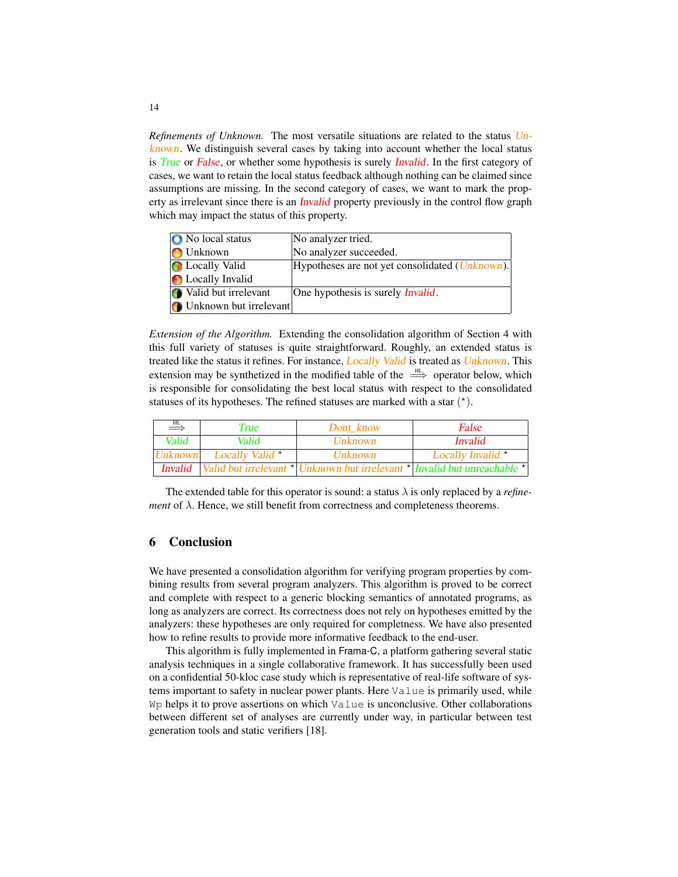*Refinements of Unknown.* The most versatile situations are related to the status Unknown. We distinguish several cases by taking into account whether the local status is True or False, or whether some hypothesis is surely Invalid. In the first category of cases, we want to retain the local status feedback although nothing can be claimed since assumptions are missing. In the second category of cases, we want to mark the property as irrelevant since there is an *Invalid* property previously in the control flow graph which may impact the status of this property.

| $\bigcirc$ No local status    | No analyzer tried.                                      |
|-------------------------------|---------------------------------------------------------|
| $\bigcirc$ Unknown            | No analyzer succeeded.                                  |
| <b>C</b> Locally Valid        | Hypotheses are not yet consolidated ( <i>Unknown</i> ). |
| <b>C</b> Locally Invalid      |                                                         |
| <b>O</b> Valid but irrelevant | One hypothesis is surely <i>Invalid</i> .               |
| $\Box$ Unknown but irrelevant |                                                         |

*Extension of the Algorithm.* Extending the consolidation algorithm of Section 4 with this full variety of statuses is quite straightforward. Roughly, an extended status is treated like the status it refines. For instance, *Locally Valid* is treated as *Unknown*. This extension may be synthetized in the modified table of the  $\Rightarrow$  operator below, which is responsible for consolidating the best local status with respect to the consolidated statuses of its hypotheses. The refined statuses are marked with a star  $(*)$ .

| $\stackrel{\text{HL}}{\Longrightarrow}$ | True            | Dont know                                                                                             | False               |
|-----------------------------------------|-----------------|-------------------------------------------------------------------------------------------------------|---------------------|
| Valid                                   | Valid           | <i>Unknown</i>                                                                                        | <i>Invalid</i>      |
| Unknown                                 | Locally Valid * | Unknown                                                                                               | Locally Invalid $*$ |
|                                         |                 | Invalid   Valid but irrelevant $\star$ Unknown but irrelevant $\star$ Invalid but unreachable $\star$ |                     |

The extended table for this operator is sound: a status λ is only replaced by a *refinement* of λ. Hence, we still benefit from correctness and completeness theorems.

# 6 Conclusion

We have presented a consolidation algorithm for verifying program properties by combining results from several program analyzers. This algorithm is proved to be correct and complete with respect to a generic blocking semantics of annotated programs, as long as analyzers are correct. Its correctness does not rely on hypotheses emitted by the analyzers: these hypotheses are only required for completness. We have also presented how to refine results to provide more informative feedback to the end-user.

This algorithm is fully implemented in Frama-C, a platform gathering several static analysis techniques in a single collaborative framework. It has successfully been used on a confidential 50-kloc case study which is representative of real-life software of systems important to safety in nuclear power plants. Here Value is primarily used, while Wp helps it to prove assertions on which Value is unconclusive. Other collaborations between different set of analyses are currently under way, in particular between test generation tools and static verifiers [18].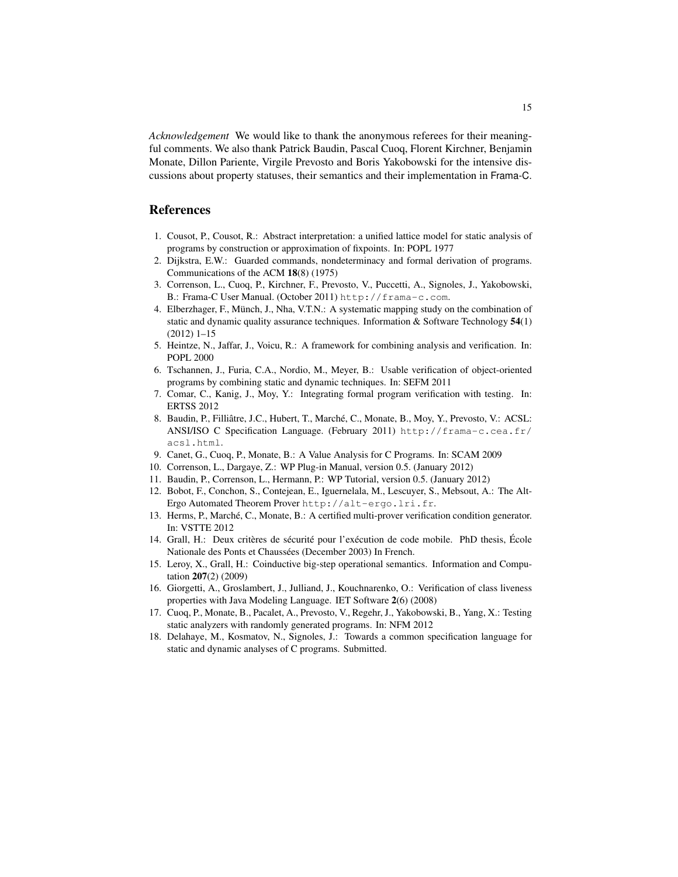*Acknowledgement* We would like to thank the anonymous referees for their meaningful comments. We also thank Patrick Baudin, Pascal Cuoq, Florent Kirchner, Benjamin Monate, Dillon Pariente, Virgile Prevosto and Boris Yakobowski for the intensive discussions about property statuses, their semantics and their implementation in Frama-C.

#### References

- 1. Cousot, P., Cousot, R.: Abstract interpretation: a unified lattice model for static analysis of programs by construction or approximation of fixpoints. In: POPL 1977
- 2. Dijkstra, E.W.: Guarded commands, nondeterminacy and formal derivation of programs. Communications of the ACM 18(8) (1975)
- 3. Correnson, L., Cuoq, P., Kirchner, F., Prevosto, V., Puccetti, A., Signoles, J., Yakobowski, B.: Frama-C User Manual. (October 2011) http://frama-c.com.
- 4. Elberzhager, F., Münch, J., Nha, V.T.N.: A systematic mapping study on the combination of static and dynamic quality assurance techniques. Information & Software Technology 54(1) (2012) 1–15
- 5. Heintze, N., Jaffar, J., Voicu, R.: A framework for combining analysis and verification. In: POPL 2000
- 6. Tschannen, J., Furia, C.A., Nordio, M., Meyer, B.: Usable verification of object-oriented programs by combining static and dynamic techniques. In: SEFM 2011
- 7. Comar, C., Kanig, J., Moy, Y.: Integrating formal program verification with testing. In: ERTSS 2012
- 8. Baudin, P., Filliâtre, J.C., Hubert, T., Marché, C., Monate, B., Moy, Y., Prevosto, V.: ACSL: ANSI/ISO C Specification Language. (February 2011) http://frama-c.cea.fr/ acsl.html.
- 9. Canet, G., Cuoq, P., Monate, B.: A Value Analysis for C Programs. In: SCAM 2009
- 10. Correnson, L., Dargaye, Z.: WP Plug-in Manual, version 0.5. (January 2012)
- 11. Baudin, P., Correnson, L., Hermann, P.: WP Tutorial, version 0.5. (January 2012)
- 12. Bobot, F., Conchon, S., Contejean, E., Iguernelala, M., Lescuyer, S., Mebsout, A.: The Alt-Ergo Automated Theorem Prover http://alt-ergo.lri.fr.
- 13. Herms, P., Marché, C., Monate, B.: A certified multi-prover verification condition generator. In: VSTTE 2012
- 14. Grall, H.: Deux critères de sécurité pour l'exécution de code mobile. PhD thesis, École Nationale des Ponts et Chaussées (December 2003) In French.
- 15. Leroy, X., Grall, H.: Coinductive big-step operational semantics. Information and Computation 207(2) (2009)
- 16. Giorgetti, A., Groslambert, J., Julliand, J., Kouchnarenko, O.: Verification of class liveness properties with Java Modeling Language. IET Software 2(6) (2008)
- 17. Cuoq, P., Monate, B., Pacalet, A., Prevosto, V., Regehr, J., Yakobowski, B., Yang, X.: Testing static analyzers with randomly generated programs. In: NFM 2012
- 18. Delahaye, M., Kosmatov, N., Signoles, J.: Towards a common specification language for static and dynamic analyses of C programs. Submitted.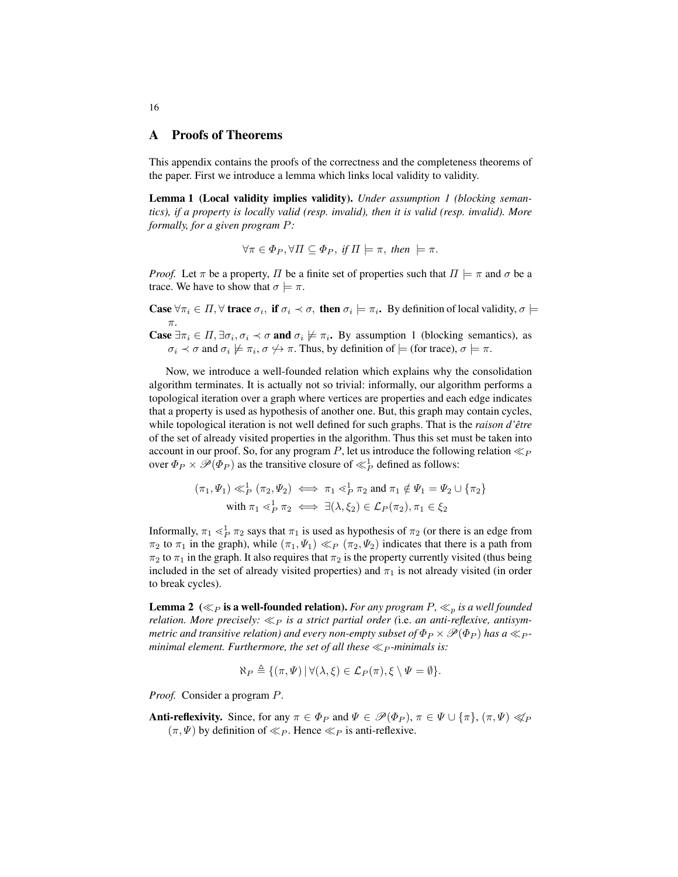# A Proofs of Theorems

This appendix contains the proofs of the correctness and the completeness theorems of the paper. First we introduce a lemma which links local validity to validity.

Lemma 1 (Local validity implies validity). *Under assumption 1 (blocking semantics), if a property is locally valid (resp. invalid), then it is valid (resp. invalid). More formally, for a given program* P*:*

$$
\forall \pi \in \Phi_P, \forall \Pi \subseteq \Phi_P, \text{ if } \Pi \models \pi, \text{ then } \models \pi.
$$

*Proof.* Let  $\pi$  be a property,  $\Pi$  be a finite set of properties such that  $\Pi \models \pi$  and  $\sigma$  be a trace. We have to show that  $\sigma = \pi$ .

**Case**  $\forall \pi_i \in \Pi$ ,  $\forall$  **trace**  $\sigma_i$ , **if**  $\sigma_i \prec \sigma$ , **then**  $\sigma_i \models \pi_i$ . By definition of local validity,  $\sigma \models$ π.

**Case**  $\exists \pi_i \in \Pi, \exists \sigma_i, \sigma_i \prec \sigma$  and  $\sigma_i \not\models \pi_i$ . By assumption 1 (blocking semantics), as  $\sigma_i \prec \sigma$  and  $\sigma_i \not\models \pi_i$ ,  $\sigma \not\leftrightarrow \pi$ . Thus, by definition of  $\models$  (for trace),  $\sigma \models \pi$ .

Now, we introduce a well-founded relation which explains why the consolidation algorithm terminates. It is actually not so trivial: informally, our algorithm performs a topological iteration over a graph where vertices are properties and each edge indicates that a property is used as hypothesis of another one. But, this graph may contain cycles, while topological iteration is not well defined for such graphs. That is the *raison d'être* of the set of already visited properties in the algorithm. Thus this set must be taken into account in our proof. So, for any program P, let us introduce the following relation  $\ll_P$ over  $\Phi_P \times \mathscr{P}(\Phi_P)$  as the transitive closure of  $\ll_P^1$  defined as follows:

$$
(\pi_1, \Psi_1) \ll_P^1 (\pi_2, \Psi_2) \iff \pi_1 \ll_P^1 \pi_2 \text{ and } \pi_1 \notin \Psi_1 = \Psi_2 \cup \{\pi_2\}
$$
  
with  $\pi_1 \ll_P^1 \pi_2 \iff \exists (\lambda, \xi_2) \in \mathcal{L}_P(\pi_2), \pi_1 \in \xi_2$ 

Informally,  $\pi_1 \leq \frac{1}{p} \pi_2$  says that  $\pi_1$  is used as hypothesis of  $\pi_2$  (or there is an edge from  $\pi_2$  to  $\pi_1$  in the graph), while  $(\pi_1, \Psi_1) \ll_P (\pi_2, \Psi_2)$  indicates that there is a path from  $\pi_2$  to  $\pi_1$  in the graph. It also requires that  $\pi_2$  is the property currently visited (thus being included in the set of already visited properties) and  $\pi_1$  is not already visited (in order to break cycles).

**Lemma 2** ( $\ll_P$  **is a well-founded relation).** *For any program*  $P$ ,  $\ll_p$  *is a well founded relation. More precisely:*  $\ll_P$  *is a strict partial order (i.e. an anti-reflexive, antisymmetric and transitive relation) and every non-empty subset of*  $\Phi_P \times \mathscr{P}(\Phi_P)$  *has a*  $\ll_P$ *minimal element. Furthermore, the set of all these*  $\ll$   $\geq$  *-minimals is:* 

$$
\aleph_P \triangleq \{(\pi, \Psi) \, | \, \forall (\lambda, \xi) \in \mathcal{L}_P(\pi), \xi \setminus \Psi = \emptyset \}.
$$

*Proof.* Consider a program P.

**Anti-reflexivity.** Since, for any  $\pi \in \Phi_P$  and  $\Psi \in \mathcal{P}(\Phi_P)$ ,  $\pi \in \Psi \cup \{\pi\}$ ,  $(\pi, \Psi) \ll_P$  $(\pi, \Psi)$  by definition of  $\ll_P$ . Hence  $\ll_P$  is anti-reflexive.

16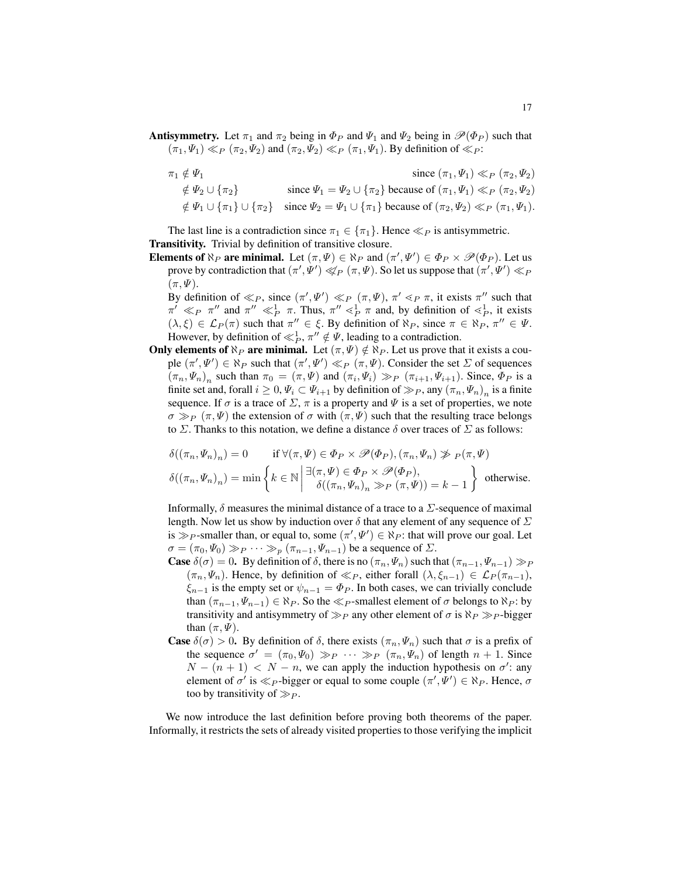- **Antisymmetry.** Let  $\pi_1$  and  $\pi_2$  being in  $\Phi_P$  and  $\Psi_1$  and  $\Psi_2$  being in  $\mathcal{P}(\Phi_P)$  such that  $(\pi_1, \Psi_1) \ll_P (\pi_2, \Psi_2)$  and  $(\pi_2, \Psi_2) \ll_P (\pi_1, \Psi_1)$ . By definition of  $\ll_P$ :
	- $\pi_1 \notin \Psi_1$  since  $(\pi_1, \Psi_1) \ll_P (\pi_2, \Psi_2)$  $\notin \Psi_2 \cup {\pi_2}$  since  $\Psi_1 = \Psi_2 \cup {\pi_2}$  because of  $(\pi_1, \Psi_1) \ll_P (\pi_2, \Psi_2)$  $\notin \Psi_1 \cup {\pi_1} \cup {\pi_2}$  since  $\Psi_2 = \Psi_1 \cup {\pi_1}$  because of  $(\pi_2, \Psi_2) \ll_P (\pi_1, \Psi_1)$ .

The last line is a contradiction since  $\pi_1 \in {\pi_1}$ . Hence  $\ll_P$  is antisymmetric. Transitivity. Trivial by definition of transitive closure.

Elements of  $\aleph_P$  are minimal. Let  $(\pi, \Psi) \in \aleph_P$  and  $(\pi', \Psi') \in \Phi_P \times \mathscr{P}(\Phi_P)$ . Let us prove by contradiction that  $(\pi',\Psi')\ll_{P} (\pi,\Psi)$ . So let us suppose that  $(\pi',\Psi')\ll_{P}$  $(\pi, \Psi).$ 

By definition of  $\ll_P$ , since  $(\pi', \Psi') \ll_P (\pi, \Psi)$ ,  $\pi' \ll_P \pi$ , it exists  $\pi''$  such that  $\pi' \ll_P \pi''$  and  $\pi'' \ll_P^1 \pi$ . Thus,  $\pi'' \ll_P^1 \pi$  and, by definition of  $\ll_P^1$ , it exists  $(\lambda, \xi) \in \mathcal{L}_P(\pi)$  such that  $\pi'' \in \xi$ . By definition of  $\aleph_P$ , since  $\pi \in \aleph_P$ ,  $\pi'' \in \Psi$ . However, by definition of  $\ll_P^1$ ,  $\pi'' \notin \Psi$ , leading to a contradiction.

Only elements of  $\aleph_P$  are minimal. Let  $(\pi, \Psi) \notin \aleph_P$ . Let us prove that it exists a couple  $(\pi', \Psi') \in \aleph_P$  such that  $(\pi', \Psi') \ll_P (\pi, \Psi)$ . Consider the set  $\Sigma$  of sequences  $(\pi_n, \Psi_n)_n$  such than  $\pi_0 = (\pi, \Psi)$  and  $(\pi_i, \Psi_i) \gg_P (\pi_{i+1}, \Psi_{i+1})$ . Since,  $\Phi_P$  is a finite set and, forall  $i \geq 0$ ,  $\Psi_i \subset \Psi_{i+1}$  by definition of  $\gg_P$ , any  $(\pi_n, \Psi_n)_n$  is a finite sequence. If  $\sigma$  is a trace of  $\Sigma$ ,  $\pi$  is a property and  $\Psi$  is a set of properties, we note  $\sigma \gg_P (\pi, \Psi)$  the extension of  $\sigma$  with  $(\pi, \Psi)$  such that the resulting trace belongs to Σ. Thanks to this notation, we define a distance  $\delta$  over traces of Σ as follows:

$$
\delta((\pi_n, \Psi_n)_n) = 0 \quad \text{if } \forall (\pi, \Psi) \in \Phi_P \times \mathscr{P}(\Phi_P), (\pi_n, \Psi_n) \not\gg_P (\pi, \Psi)
$$

$$
\delta((\pi_n, \Psi_n)_n) = \min \left\{ k \in \mathbb{N} \middle| \begin{array}{l} \exists (\pi, \Psi) \in \Phi_P \times \mathscr{P}(\Phi_P), \\ \delta((\pi_n, \Psi_n)_n \gg_P (\pi, \Psi)) = k - 1 \end{array} \right\} \text{ otherwise.}
$$

Informally,  $\delta$  measures the minimal distance of a trace to a  $\Sigma$ -sequence of maximal length. Now let us show by induction over  $\delta$  that any element of any sequence of  $\Sigma$ is  $\gg_P$ -smaller than, or equal to, some  $(\pi', \Psi') \in \aleph_P$ : that will prove our goal. Let  $\sigma = (\pi_0, \Psi_0) \gg_P \cdots \gg_p (\pi_{n-1}, \Psi_{n-1})$  be a sequence of  $\Sigma$ .

- **Case**  $\delta(\sigma) = 0$ . By definition of  $\delta$ , there is no  $(\pi_n, \Psi_n)$  such that  $(\pi_{n-1}, \Psi_{n-1}) \gg_P$  $(\pi_n, \Psi_n)$ . Hence, by definition of  $\ll_P$ , either forall  $(\lambda, \xi_{n-1}) \in \mathcal{L}_P(\pi_{n-1}),$  $\xi_{n-1}$  is the empty set or  $\psi_{n-1} = \Phi_P$ . In both cases, we can trivially conclude than  $(\pi_{n-1}, \Psi_{n-1}) \in \aleph_P$ . So the  $\ll_P$ -smallest element of  $\sigma$  belongs to  $\aleph_P$ : by transitivity and antisymmetry of  $\gg_P$  any other element of  $\sigma$  is  $\aleph_P \gg_P$ -bigger than  $(\pi, \Psi)$ .
- **Case**  $\delta(\sigma) > 0$ . By definition of  $\delta$ , there exists  $(\pi_n, \Psi_n)$  such that  $\sigma$  is a prefix of the sequence  $\sigma' = (\pi_0, \Psi_0) \gg_P \cdots \gg_P (\pi_n, \Psi_n)$  of length  $n + 1$ . Since  $N - (n + 1) < N - n$ , we can apply the induction hypothesis on  $\sigma'$ : any element of  $\sigma'$  is  $\ll_P$ -bigger or equal to some couple  $(\pi', \Psi') \in \aleph_P$ . Hence,  $\sigma$ too by transitivity of  $\gg_P$ .

We now introduce the last definition before proving both theorems of the paper. Informally, it restricts the sets of already visited properties to those verifying the implicit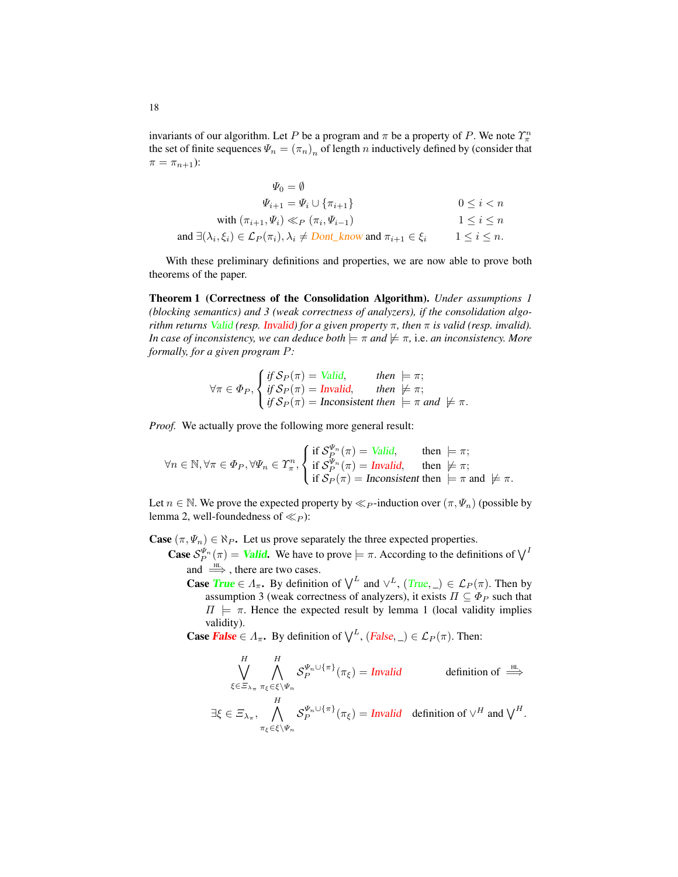invariants of our algorithm. Let P be a program and  $\pi$  be a property of P. We note  $\Upsilon_{\pi}^n$ the set of finite sequences  $\Psi_n = (\pi_n)_n$  of length n inductively defined by (consider that  $\pi = \pi_{n+1}$ :

$$
\begin{aligned} \Psi_0 &= \emptyset \\ \Psi_{i+1} &= \Psi_i \cup \{\pi_{i+1}\} \\ \text{with } (\pi_{i+1},\Psi_i) \ll_P (\pi_i,\Psi_{i-1}) \\ \text{and } \exists (\lambda_i,\xi_i) \in \mathcal{L}_P(\pi_i), \lambda_i \neq \text{Dont\_know} \text{ and } \pi_{i+1} \in \xi_i \qquad 1 \leq i \leq n. \end{aligned}
$$

With these preliminary definitions and properties, we are now able to prove both theorems of the paper.

Theorem 1 (Correctness of the Consolidation Algorithm). *Under assumptions 1 (blocking semantics) and 3 (weak correctness of analyzers), if the consolidation algorithm returns* Valid *(resp.* Invalid*) for a given property* π*, then* π *is valid (resp. invalid). In case of inconsistency, we can deduce both*  $\models \pi$  *and*  $\not\models \pi$ , i.e. *an inconsistency. More formally, for a given program* P*:*

$$
\forall \pi \in \Phi_P, \begin{cases} \text{if } S_P(\pi) = \text{Valid}, & \text{then } \models \pi; \\ \text{if } S_P(\pi) = \text{Invalid}, & \text{then } \not \models \pi; \\ \text{if } S_P(\pi) = \text{Inconsistent then } \models \pi \text{ and } \not \models \pi. \end{cases}
$$

*Proof.* We actually prove the following more general result:

$$
\forall n \in \mathbb{N}, \forall \pi \in \Phi_P, \forall \Psi_n \in \Upsilon_\pi^n, \begin{cases} \text{if } \mathcal{S}_P^{\Psi_n}(\pi) = \text{Valid}, & \text{then } \models \pi; \\ \text{if } \mathcal{S}_P^{\Psi_n}(\pi) = \text{Invalid}, & \text{then } \not\models \pi; \\ \text{if } \mathcal{S}_P(\pi) = \text{Inconsistent then } \models \pi \text{ and } \not\models \pi. \end{cases}
$$

Let  $n \in \mathbb{N}$ . We prove the expected property by  $\ll_P$ -induction over  $(\pi, \Psi_n)$  (possible by lemma 2, well-foundedness of  $\ll_P$ ):

**Case**  $(\pi, \Psi_n) \in \aleph_P$ . Let us prove separately the three expected properties.

**Case**  $S_P^{\Psi_n}(\pi) =$  **Valid.** We have to prove  $\models \pi$ . According to the definitions of  $\bigvee^1$ and  $\stackrel{\text{HL}}{\Longrightarrow}$ , there are two cases.

**Case True**  $\in \Lambda_{\pi}$ . By definition of  $\bigvee^{L}$  and  $\vee^{L}$ ,  $(True, ) \in \mathcal{L}_{P}(\pi)$ . Then by assumption 3 (weak correctness of analyzers), it exists  $\Pi \subseteq \Phi_P$  such that  $\Pi$  =  $\pi$ . Hence the expected result by lemma 1 (local validity implies validity).

**Case False**  $\in \Lambda_{\pi}$ . By definition of  $\bigvee^{L}$ , (False,  $\Box$ )  $\in \mathcal{L}_P(\pi)$ . Then:

$$
\bigvee_{\xi \in \Xi_{\lambda_{\pi}}}^{H} \bigwedge_{\pi_{\xi} \in \xi \setminus \Psi_n}^{H} \mathcal{S}_{P}^{\Psi_n \cup \{\pi\}}(\pi_{\xi}) = \text{Invalid} \qquad \text{definition of } \overset{\text{HL}}{\implies}
$$

$$
\exists \xi \in \Xi_{\lambda_{\pi}}, \bigwedge_{\pi_{\xi} \in \xi \setminus \Psi_n}^H \mathcal{S}_P^{\Psi_n \cup \{\pi\}}(\pi_{\xi}) = \text{Invalid definition of } \forall^H \text{ and } \bigforall^H.
$$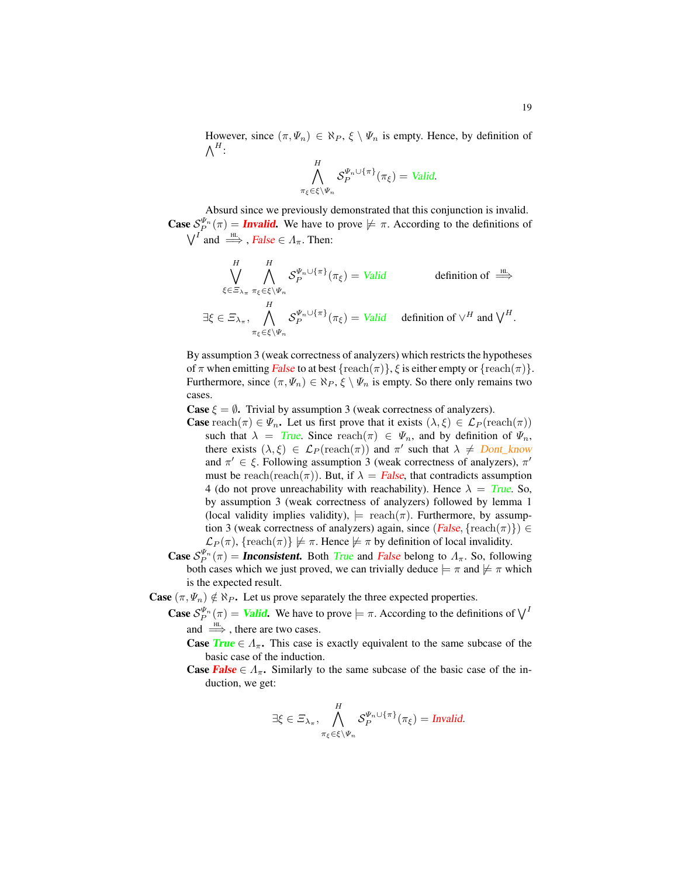However, since  $(\pi, \Psi_n) \in \aleph_P, \xi \setminus \Psi_n$  is empty. Hence, by definition of  $\bigwedge^H$ :

$$
\bigwedge_{\pi_{\xi}\in \xi\backslash \Psi_n}^H \mathcal{S}_P^{\Psi_n\cup\{\pi\}}(\pi_{\xi}) = \text{Valid}.
$$

Absurd since we previously demonstrated that this conjunction is invalid. **Case**  $S_P^{\Psi_n}(\pi) =$  **Invalid.** We have to prove  $\not\models \pi$ . According to the definitions of  $\bigvee^I$  and  $\stackrel{\text{HL}}{\Longrightarrow}$  , False  $\in \Lambda_{\pi}$ . Then:

$$
\bigvee_{\xi \in \Xi_{\lambda_{\pi}}}^H \bigwedge_{\pi_{\xi} \in \xi \backslash \Psi_n}^H \mathcal{S}_P^{\Psi_n \cup \{\pi\}}(\pi_{\xi}) = \text{Valid} \qquad \text{definition of } \Longrightarrow^{\text{HL}} \\ \exists \xi \in \Xi_{\lambda_{\pi}}, \bigwedge_{\pi_{\xi} \in \xi \backslash \Psi_n}^H \mathcal{S}_P^{\Psi_n \cup \{\pi\}}(\pi_{\xi}) = \text{Valid} \qquad \text{definition of } \vee^H \text{ and } \bigvee^H.
$$

By assumption 3 (weak correctness of analyzers) which restricts the hypotheses of  $\pi$  when emitting False to at best  $\{\text{reach}(\pi)\}\$ ,  $\xi$  is either empty or  $\{\text{reach}(\pi)\}\$ . Furthermore, since  $(\pi, \Psi_n) \in \aleph_P, \xi \setminus \Psi_n$  is empty. So there only remains two cases.

**Case**  $\xi = \emptyset$ . Trivial by assumption 3 (weak correctness of analyzers).

- **Case** reach $(\pi) \in \Psi_n$ . Let us first prove that it exists  $(\lambda, \xi) \in \mathcal{L}_P(\text{reach}(\pi))$ such that  $\lambda = True$ . Since reach $(\pi) \in \Psi_n$ , and by definition of  $\Psi_n$ , there exists  $(\lambda, \xi) \in \mathcal{L}_P(\text{reach}(\pi))$  and  $\pi'$  such that  $\lambda \neq \text{Dont\_know}$ and  $\pi' \in \xi$ . Following assumption 3 (weak correctness of analyzers),  $\pi'$ must be reach(reach( $\pi$ )). But, if  $\lambda =$  False, that contradicts assumption 4 (do not prove unreachability with reachability). Hence  $\lambda = True$ . So, by assumption 3 (weak correctness of analyzers) followed by lemma 1 (local validity implies validity),  $\models$  reach( $\pi$ ). Furthermore, by assumption 3 (weak correctness of analyzers) again, since  $(False, \{reach(\pi)\}) \in$  $\mathcal{L}_P(\pi)$ , {reach( $\pi$ )}  $\not\models \pi$ . Hence  $\not\models \pi$  by definition of local invalidity.
- **Case**  $S_P^{\Psi_n}(\pi)$  = **Inconsistent.** Both *True* and *False* belong to  $\Lambda_{\pi}$ . So, following both cases which we just proved, we can trivially deduce  $\models \pi$  and  $\not\models \pi$  which is the expected result.
- **Case**  $(\pi, \Psi_n) \notin \aleph_P$ . Let us prove separately the three expected properties.

**Case**  $S_P^{\Psi_n}(\pi) =$  **Valid.** We have to prove  $\models \pi$ . According to the definitions of  $\bigvee^1$ and  $\stackrel{\text{HL}}{\Longrightarrow}$ , there are two cases.

**Case True**  $\in A_{\pi}$ . This case is exactly equivalent to the same subcase of the basic case of the induction.

**Case False**  $\in \Lambda_{\pi}$ . Similarly to the same subcase of the basic case of the induction, we get:

$$
\exists \xi \in \Xi_{\lambda_{\pi}}, \bigwedge_{\pi_{\xi} \in \xi \setminus \Psi_n}^{H} \mathcal{S}_{P}^{\Psi_n \cup \{\pi\}}(\pi_{\xi}) = \text{Invalid.}
$$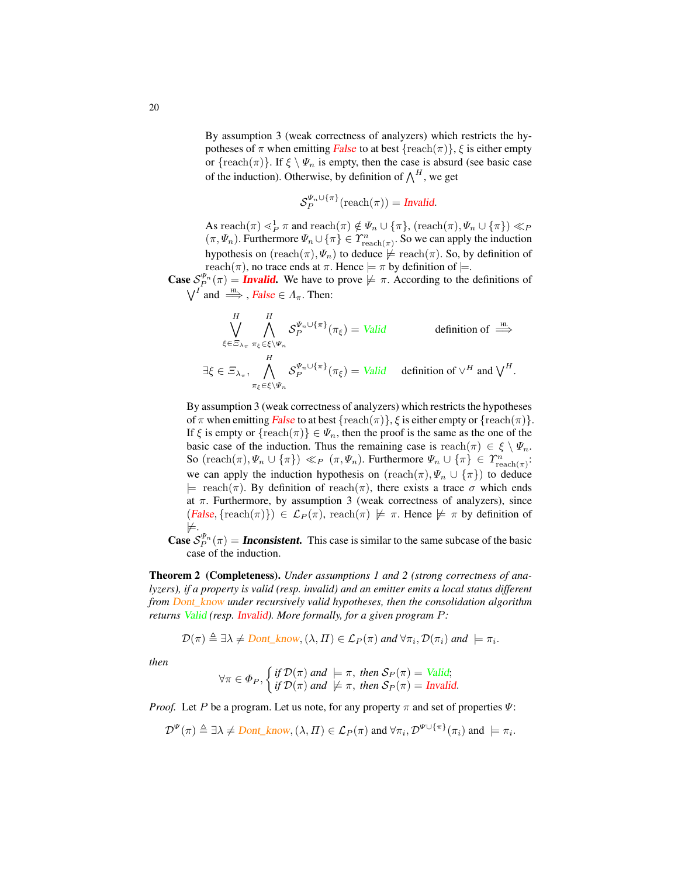By assumption 3 (weak correctness of analyzers) which restricts the hypotheses of  $\pi$  when emitting False to at best  $\{\text{reach}(\pi)\}\$ ,  $\xi$  is either empty or  $\{\text{reach}(\pi)\}\$ . If  $\xi \setminus \Psi_n$  is empty, then the case is absurd (see basic case of the induction). Otherwise, by definition of  $\bigwedge^H$ , we get

$$
\mathcal{S}_P^{\Psi_n \cup \{\pi\}}(\text{reach}(\pi)) = \text{Invalid.}
$$

As  $\text{reach}(\pi) \leq \frac{1}{p} \pi$  and  $\text{reach}(\pi) \notin \Psi_n \cup \{\pi\}$ ,  $(\text{reach}(\pi), \Psi_n \cup \{\pi\}) \ll_P$  $(\pi, \Psi_n)$ . Furthermore  $\Psi_n \cup {\pi} \in \Upsilon_{\text{reach}(\pi)}^n$ . So we can apply the induction hypothesis on  $(\text{reach}(\pi), \Psi_n)$  to deduce  $\models \text{reach}(\pi)$ . So, by definition of reach( $\pi$ ), no trace ends at  $\pi$ . Hence  $\models \pi$  by definition of  $\models$ .

**Case**  $S_P^{\Psi_n}(\pi) =$  **Invalid.** We have to prove  $\not\models \pi$ . According to the definitions of  $\bigvee^I$  and  $\stackrel{\text{HL}}{\Longrightarrow}$ , False  $\in \Lambda_{\pi}$ . Then:

$$
\bigvee_{\xi \in \Xi_{\lambda_{\pi}}}^H \bigwedge_{\pi_{\xi} \in \xi \backslash \Psi_n}^H \mathcal{S}_P^{\Psi_n \cup \{\pi\}}(\pi_{\xi}) = \text{Valid} \qquad \text{definition of } \Longrightarrow^{\text{HL}} \\ \exists \xi \in \Xi_{\lambda_{\pi}}, \bigwedge_{\pi_{\xi} \in \xi \backslash \Psi_n}^H \mathcal{S}_P^{\Psi_n \cup \{\pi\}}(\pi_{\xi}) = \text{Valid} \qquad \text{definition of } \vee^H \text{ and } \bigvee^H.
$$

By assumption 3 (weak correctness of analyzers) which restricts the hypotheses of  $\pi$  when emitting False to at best  $\{\text{reach}(\pi)\}\$ ,  $\xi$  is either empty or  $\{\text{reach}(\pi)\}\$ . If  $\xi$  is empty or  $\{\text{reach}(\pi)\}\in \Psi_n$ , then the proof is the same as the one of the basic case of the induction. Thus the remaining case is reach $(\pi) \in \xi \setminus \Psi_n$ . So  $(\text{reach}(\pi), \Psi_n \cup \{\pi\}) \ll_P (\pi, \Psi_n)$ . Furthermore  $\Psi_n \cup \{\pi\} \in \Upsilon^n_{\text{reach}(\pi)}$ : we can apply the induction hypothesis on  $(\text{reach}(\pi), \Psi_n \cup \{\pi\})$  to deduce  $\models$  reach(π). By definition of reach(π), there exists a trace  $\sigma$  which ends at  $\pi$ . Furthermore, by assumption 3 (weak correctness of analyzers), since  $(False, \{reach(\pi)\}) \in \mathcal{L}_P(\pi)$ , reach $(\pi) \not\models \pi$ . Hence  $\not\models \pi$  by definition of  $\not\models.$ 

**Case**  $S_P^{\Psi_n}(\pi)$  = **Inconsistent.** This case is similar to the same subcase of the basic case of the induction.

Theorem 2 (Completeness). *Under assumptions 1 and 2 (strong correctness of analyzers), if a property is valid (resp. invalid) and an emitter emits a local status different from* Dont\_know *under recursively valid hypotheses, then the consolidation algorithm returns* Valid *(resp.* Invalid*). More formally, for a given program* P*:*

$$
\mathcal{D}(\pi) \triangleq \exists \lambda \neq \underline{\text{Dont\_know}}, (\lambda, \Pi) \in \mathcal{L}_P(\pi) \text{ and } \forall \pi_i, \mathcal{D}(\pi_i) \text{ and } \models \pi_i.
$$

*then*

$$
\forall \pi \in \Phi_P, \begin{cases} \text{if } \mathcal{D}(\pi) \text{ and } \models \pi, \text{ then } \mathcal{S}_P(\pi) = \text{Valid;} \\ \text{if } \mathcal{D}(\pi) \text{ and } \not\models \pi, \text{ then } \mathcal{S}_P(\pi) = \text{Invalid.} \end{cases}
$$

*Proof.* Let P be a program. Let us note, for any property  $\pi$  and set of properties  $\Psi$ :

$$
\mathcal{D}^{\Psi}(\pi) \triangleq \exists \lambda \neq \underline{\text{Dont\_know}}, (\lambda, \Pi) \in \mathcal{L}_P(\pi) \text{ and } \forall \pi_i, \mathcal{D}^{\Psi \cup \{\pi\}}(\pi_i) \text{ and } \models \pi_i.
$$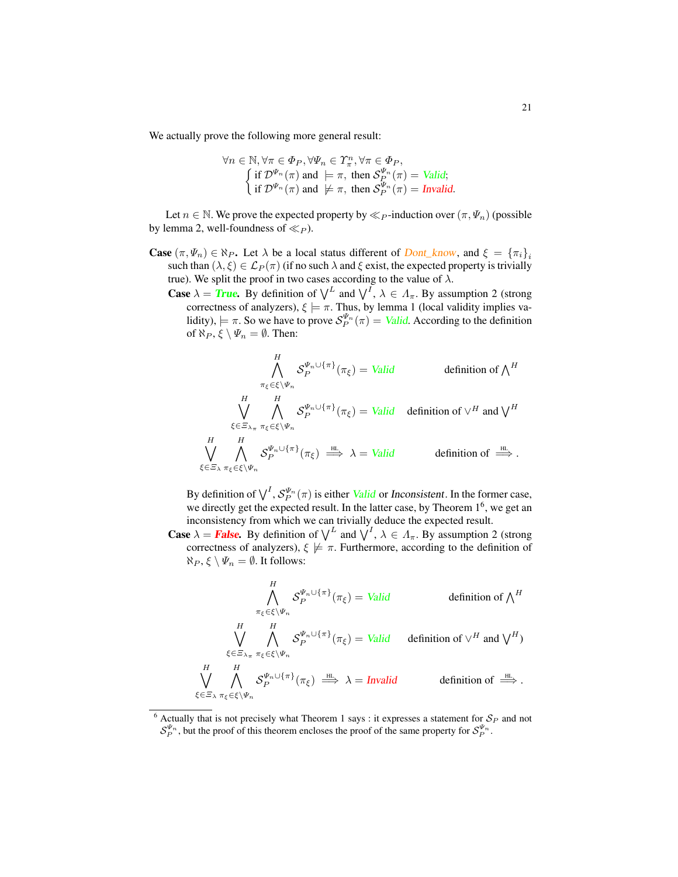We actually prove the following more general result:

$$
\forall n \in \mathbb{N}, \forall \pi \in \Phi_P, \forall \Psi_n \in \Upsilon_n^m, \forall \pi \in \Phi_P,
$$
  
\n
$$
\begin{cases}\n\text{if } \mathcal{D}^{\Psi_n}(\pi) \text{ and } \models \pi, \text{ then } \mathcal{S}_P^{\Psi_n}(\pi) = \text{Valid;} \\
\text{if } \mathcal{D}^{\Psi_n}(\pi) \text{ and } \not\models \pi, \text{ then } \mathcal{S}_P^{\Psi_n}(\pi) = \text{Invalid.}\n\end{cases}
$$

Let  $n \in \mathbb{N}$ . We prove the expected property by  $\ll_P$ -induction over  $(\pi, \Psi_n)$  (possible by lemma 2, well-foundness of  $\ll_P$ ).

- **Case**  $(\pi, \Psi_n) \in \aleph_P$ . Let  $\lambda$  be a local status different of Dont\_know, and  $\xi = {\pi_i}_i$ such than  $(\lambda, \xi) \in \mathcal{L}_P(\pi)$  (if no such  $\lambda$  and  $\xi$  exist, the expected property is trivially true). We split the proof in two cases according to the value of  $\lambda$ .
	- **Case**  $\lambda =$  **True.** By definition of  $\bigvee^{L}$  and  $\bigvee^{I}$ ,  $\lambda \in \Lambda_{\pi}$ . By assumption 2 (strong correctness of analyzers),  $\xi \models \pi$ . Thus, by lemma 1 (local validity implies validity),  $\models \pi$ . So we have to prove  $S_P^{\Psi_n}(\pi) =$  Valid. According to the definition of  $\aleph_P, \xi \setminus \Psi_n = \emptyset$ . Then:

$$
\bigwedge_{\pi_{\xi} \in \xi \backslash \Psi_n}^H \mathcal{S}_P^{\Psi_n \cup \{\pi\}}(\pi_{\xi}) = \text{Valid} \qquad \text{definition of } \bigwedge^H
$$
\n
$$
\bigvee_{\xi \in \Xi_{\lambda_{\pi}}}^H \bigwedge_{\pi_{\xi} \in \xi \backslash \Psi_n}^H \mathcal{S}_P^{\Psi_n \cup \{\pi\}}(\pi_{\xi}) = \text{Valid} \qquad \text{definition of } \bigvee^H \text{ and } \bigvee^H
$$
\n
$$
\bigvee_{\xi \in \Xi_{\lambda}}^H \bigwedge_{\pi_{\xi} \in \xi \backslash \Psi_n}^H \mathcal{S}_P^{\Psi_n \cup \{\pi\}}(\pi_{\xi}) \stackrel{\text{HL}}{\implies} \lambda = \text{Valid} \qquad \text{definition of } \stackrel{\text{HL}}{\implies}.
$$

By definition of  $\bigvee^I, \mathcal{S}_P^{\Psi_n}(\pi)$  is either *Valid* or *Inconsistent*. In the former case, we directly get the expected result. In the latter case, by Theorem  $1<sup>6</sup>$ , we get an inconsistency from which we can trivially deduce the expected result.

**Case**  $\lambda =$  **False.** By definition of  $\bigvee^{L}$  and  $\bigvee^{I}$ ,  $\lambda \in A_{\pi}$ . By assumption 2 (strong correctness of analyzers),  $\xi \neq \pi$ . Furthermore, according to the definition of  $\aleph_P, \xi \setminus \Psi_n = \emptyset$ . It follows:

$$
\bigwedge_{\pi_{\xi} \in \xi \backslash \Psi_n}^H \mathcal{S}_P^{\Psi_n \cup \{\pi\}}(\pi_{\xi}) = \text{Valid} \qquad \text{definition of } \bigwedge^H
$$
\n
$$
\bigvee_{\xi \in \Xi_{\lambda_{\pi}}} \bigwedge_{\pi_{\xi} \in \xi \backslash \Psi_n}^H \mathcal{S}_P^{\Psi_n \cup \{\pi\}}(\pi_{\xi}) = \text{Valid} \qquad \text{definition of } \bigvee^H \text{ and } \bigvee^H)
$$
\n
$$
\bigvee_{\xi \in \Xi_{\lambda}} \bigwedge_{\pi_{\xi} \in \xi \backslash \Psi_n}^H \mathcal{S}_P^{\Psi_n \cup \{\pi\}}(\pi_{\xi}) \xrightarrow{\text{HL}} \lambda = \text{Invalid} \qquad \text{definition of } \xrightarrow{\text{HL}}.
$$

ξ∈Ξ<sup>λ</sup>

<sup>&</sup>lt;sup>6</sup> Actually that is not precisely what Theorem 1 says : it expresses a statement for  $S_P$  and not  $S_P^{\Psi_n}$ , but the proof of this theorem encloses the proof of the same property for  $S_P^{\Psi_n}$ .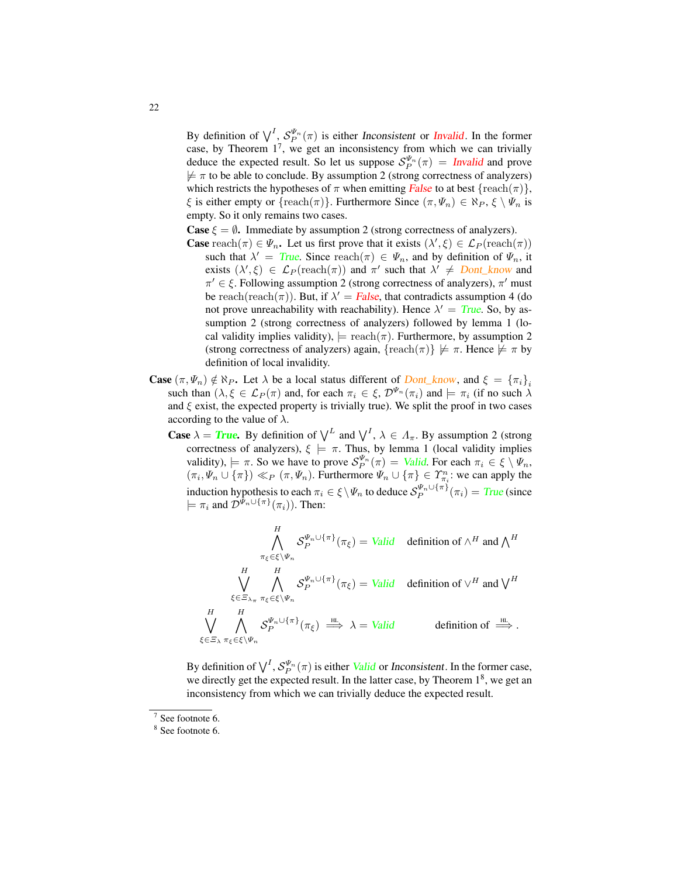By definition of  $\bigvee_{i=1}^{I} S_P^{\Psi_n}(\pi)$  is either *Inconsistent* or *Invalid*. In the former case, by Theorem  $1^7$ , we get an inconsistency from which we can trivially deduce the expected result. So let us suppose  $S_P^{\Psi_n}(\pi) = \text{Invalid}$  and prove  $\not\models \pi$  to be able to conclude. By assumption 2 (strong correctness of analyzers) which restricts the hypotheses of  $\pi$  when emitting False to at best  $\{\text{reach}(\pi)\}\$ ,  $\xi$  is either empty or  $\{\text{reach}(\pi)\}\)$ . Furthermore Since  $(\pi, \Psi_n) \in \aleph_P, \xi \setminus \Psi_n$  is empty. So it only remains two cases.

**Case**  $\xi = \emptyset$ . Immediate by assumption 2 (strong correctness of analyzers).

- **Case** reach $(\pi) \in \Psi_n$ . Let us first prove that it exists  $(\lambda', \xi) \in \mathcal{L}_P(\text{reach}(\pi))$ such that  $\lambda' = True$ . Since reach $(\pi) \in \Psi_n$ , and by definition of  $\Psi_n$ , it exists  $(\lambda', \xi) \in \mathcal{L}_P(\text{reach}(\pi))$  and  $\pi'$  such that  $\lambda' \neq \text{Dont\_know}$  and  $\pi' \in \xi$ . Following assumption 2 (strong correctness of analyzers),  $\pi'$  must be reach(reach( $\pi$ )). But, if  $\lambda' = \text{False}$ , that contradicts assumption 4 (do not prove unreachability with reachability). Hence  $\lambda' = True$ . So, by assumption 2 (strong correctness of analyzers) followed by lemma 1 (local validity implies validity),  $\models$  reach( $\pi$ ). Furthermore, by assumption 2 (strong correctness of analyzers) again,  $\{\text{reach}(\pi)\}\not\models \pi$ . Hence  $\not\models \pi$  by definition of local invalidity.
- **Case**  $(\pi, \Psi_n) \notin \aleph_P$ . Let  $\lambda$  be a local status different of *Dont\_know*, and  $\xi = {\pi_i}_i$ such than  $(\lambda, \xi \in \mathcal{L}_P(\pi)$  and, for each  $\pi_i \in \xi$ ,  $\mathcal{D}^{\Psi_n}(\pi_i)$  and  $\models \pi_i$  (if no such  $\lambda$ and  $\xi$  exist, the expected property is trivially true). We split the proof in two cases according to the value of  $\lambda$ .
	- **Case**  $\lambda =$  **True.** By definition of  $\bigvee^{L}$  and  $\bigvee^{I}$ ,  $\lambda \in \Lambda_{\pi}$ . By assumption 2 (strong correctness of analyzers),  $\xi \models \pi$ . Thus, by lemma 1 (local validity implies validity),  $\models \pi$ . So we have to prove  $S_P^{\Psi_n}(\pi) =$  Valid. For each  $\pi_i \in \xi \setminus \Psi_n$ ,  $(\pi_i, \Psi_n \cup \{\pi\}) \ll_P (\pi, \Psi_n)$ . Furthermore  $\Psi_n \cup \{\pi\} \in \Upsilon_{\pi_i}^n$ : we can apply the induction hypothesis to each  $\pi_i \in \xi \setminus \Psi_n$  to deduce  $\mathcal{S}_P^{\Psi_n \cup \{\pi\}}(\pi_i) =$  True (since  $\models \pi_i$  and  $\mathcal{D}^{\Psi_n \cup \{\pi\}}(\pi_i)$ ). Then:

$$
\bigwedge_{\pi_{\xi} \in \xi \backslash \Psi_n}^H \mathcal{S}_P^{\Psi_n \cup \{\pi\}}(\pi_{\xi}) = \text{Valid definition of } \wedge^H \text{ and } \bigwedge^H
$$
\n
$$
\bigvee_{\xi \in \Xi_{\lambda_{\pi}}}^H \bigwedge_{\pi_{\xi} \in \xi \backslash \Psi_n}^H \mathcal{S}_P^{\Psi_n \cup \{\pi\}}(\pi_{\xi}) = \text{Valid definition of } \vee^H \text{ and } \bigvee^H
$$
\n
$$
\bigvee_{\xi \in \Xi_{\lambda_{\pi}}}^H \bigwedge_{\pi_{\xi} \in \xi \backslash \Psi_n}^H \mathcal{S}_P^{\Psi_n \cup \{\pi\}}(\pi_{\xi}) \stackrel{\text{HL}}{\implies} \lambda = \text{Valid} \qquad \text{definition of } \stackrel{\text{HL}}{\implies}.
$$

By definition of  $\bigvee^I, \mathcal{S}_P^{\Psi_n}(\pi)$  is either *Valid* or *Inconsistent*. In the former case, we directly get the expected result. In the latter case, by Theorem  $1<sup>8</sup>$ , we get an inconsistency from which we can trivially deduce the expected result.

<sup>7</sup> See footnote 6.

<sup>8</sup> See footnote 6.